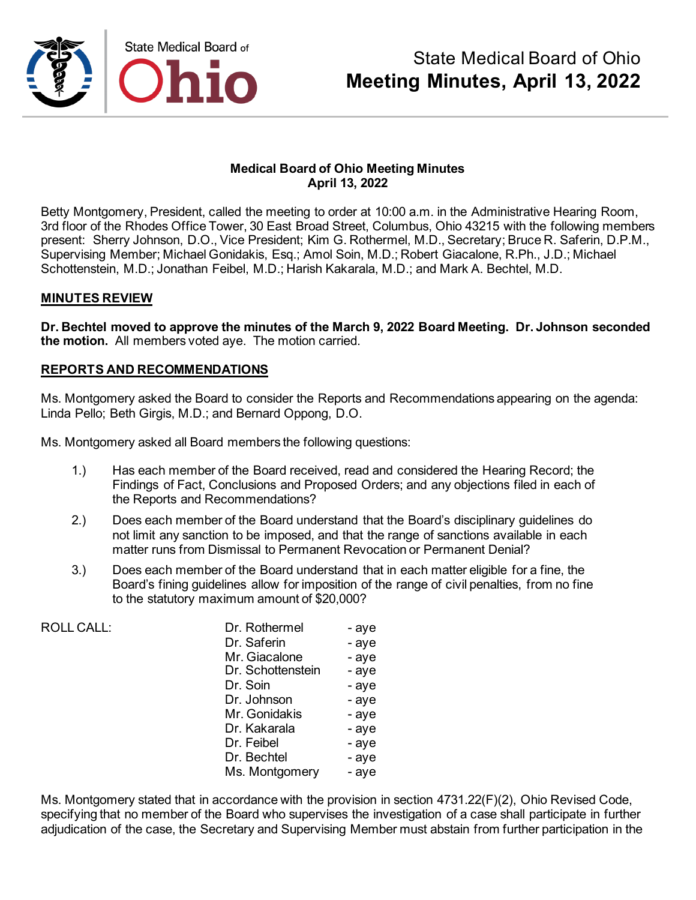

### **Medical Board of Ohio Meeting Minutes April 13, 2022**

Betty Montgomery, President, called the meeting to order at 10:00 a.m. in the Administrative Hearing Room, 3rd floor of the Rhodes Office Tower, 30 East Broad Street, Columbus, Ohio 43215 with the following members present: Sherry Johnson, D.O., Vice President; Kim G. Rothermel, M.D., Secretary; Bruce R. Saferin, D.P.M., Supervising Member; Michael Gonidakis, Esq.; Amol Soin, M.D.; Robert Giacalone, R.Ph., J.D.; Michael Schottenstein, M.D.; Jonathan Feibel, M.D.; Harish Kakarala, M.D.; and Mark A. Bechtel, M.D.

### **MINUTES REVIEW**

**Dr. Bechtel moved to approve the minutes of the March 9, 2022 Board Meeting. Dr. Johnson seconded the motion.** All members voted aye. The motion carried.

### **REPORTS AND RECOMMENDATIONS**

Ms. Montgomery asked the Board to consider the Reports and Recommendations appearing on the agenda: Linda Pello; Beth Girgis, M.D.; and Bernard Oppong, D.O.

Ms. Montgomery asked all Board members the following questions:

- 1.) Has each member of the Board received, read and considered the Hearing Record; the Findings of Fact, Conclusions and Proposed Orders; and any objections filed in each of the Reports and Recommendations?
- 2.) Does each member of the Board understand that the Board's disciplinary guidelines do not limit any sanction to be imposed, and that the range of sanctions available in each matter runs from Dismissal to Permanent Revocation or Permanent Denial?
- 3.) Does each member of the Board understand that in each matter eligible for a fine, the Board's fining guidelines allow for imposition of the range of civil penalties, from no fine to the statutory maximum amount of \$20,000?

| <b>ROLL CALL:</b> | Dr. Rothermel     | - aye |
|-------------------|-------------------|-------|
|                   | Dr. Saferin       | - aye |
|                   | Mr. Giacalone     | - aye |
|                   | Dr. Schottenstein | - aye |
|                   | Dr. Soin          | - aye |
|                   | Dr. Johnson       | - aye |
|                   | Mr. Gonidakis     | - aye |
|                   | Dr. Kakarala      | - aye |
|                   | Dr. Feibel        | - aye |
|                   | Dr. Bechtel       | - aye |
|                   | Ms. Montgomery    | - aye |

Ms. Montgomery stated that in accordance with the provision in section 4731.22(F)(2), Ohio Revised Code, specifying that no member of the Board who supervises the investigation of a case shall participate in further adjudication of the case, the Secretary and Supervising Member must abstain from further participation in the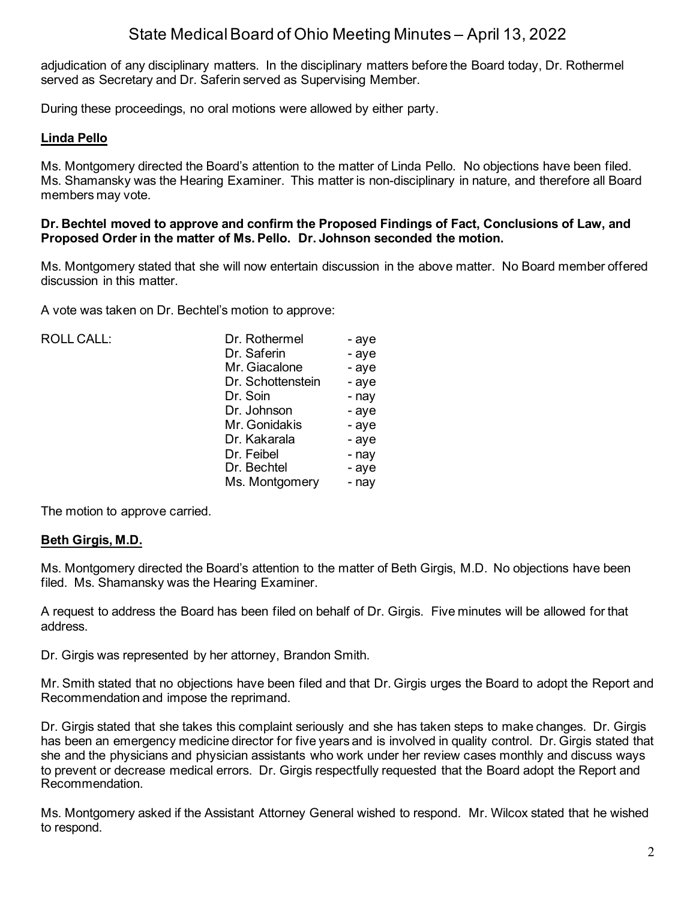adjudication of any disciplinary matters. In the disciplinary matters before the Board today, Dr. Rothermel served as Secretary and Dr. Saferin served as Supervising Member.

During these proceedings, no oral motions were allowed by either party.

### **Linda Pello**

Ms. Montgomery directed the Board's attention to the matter of Linda Pello. No objections have been filed. Ms. Shamansky was the Hearing Examiner. This matter is non-disciplinary in nature, and therefore all Board members may vote.

#### **Dr. Bechtel moved to approve and confirm the Proposed Findings of Fact, Conclusions of Law, and Proposed Order in the matter of Ms. Pello. Dr. Johnson seconded the motion.**

Ms. Montgomery stated that she will now entertain discussion in the above matter. No Board member offered discussion in this matter.

A vote was taken on Dr. Bechtel's motion to approve:

| <b>ROLL CALL:</b> | Dr. Rothermel     | - aye |
|-------------------|-------------------|-------|
|                   | Dr. Saferin       | - aye |
|                   | Mr. Giacalone     | - aye |
|                   | Dr. Schottenstein | - aye |
|                   | Dr. Soin          | - nay |
|                   | Dr. Johnson       | - aye |
|                   | Mr. Gonidakis     | - aye |
|                   | Dr. Kakarala      | - aye |
|                   | Dr. Feibel        | - nay |
|                   | Dr. Bechtel       | - aye |
|                   | Ms. Montgomery    | - nay |
|                   |                   |       |

The motion to approve carried.

### **Beth Girgis, M.D.**

Ms. Montgomery directed the Board's attention to the matter of Beth Girgis, M.D. No objections have been filed. Ms. Shamansky was the Hearing Examiner.

A request to address the Board has been filed on behalf of Dr. Girgis. Five minutes will be allowed for that address.

Dr. Girgis was represented by her attorney, Brandon Smith.

Mr. Smith stated that no objections have been filed and that Dr. Girgis urges the Board to adopt the Report and Recommendation and impose the reprimand.

Dr. Girgis stated that she takes this complaint seriously and she has taken steps to make changes. Dr. Girgis has been an emergency medicine director for five years and is involved in quality control. Dr. Girgis stated that she and the physicians and physician assistants who work under her review cases monthly and discuss ways to prevent or decrease medical errors. Dr. Girgis respectfully requested that the Board adopt the Report and Recommendation.

Ms. Montgomery asked if the Assistant Attorney General wished to respond. Mr. Wilcox stated that he wished to respond.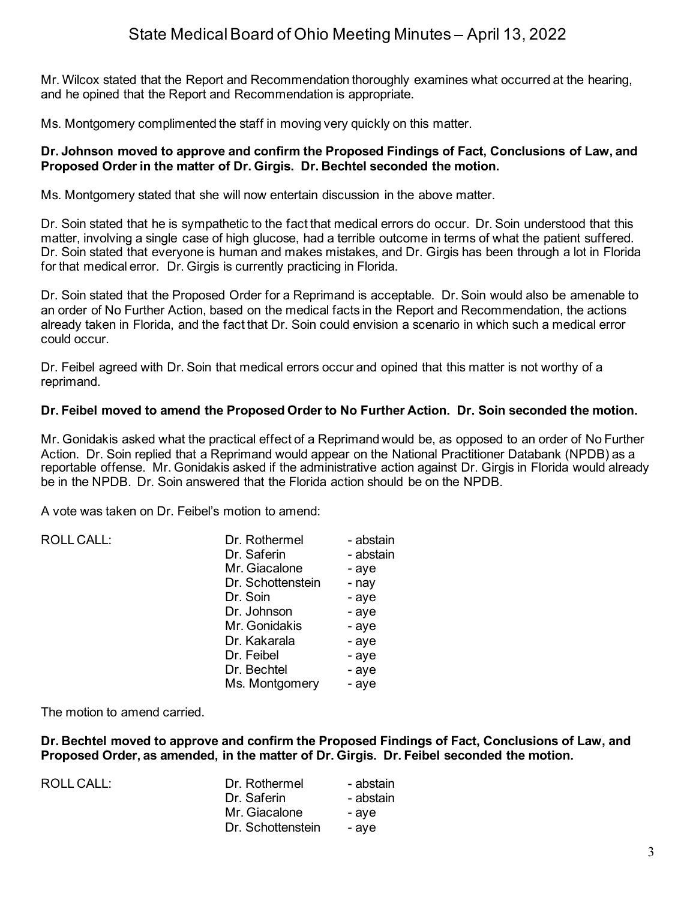Mr. Wilcox stated that the Report and Recommendation thoroughly examines what occurred at the hearing, and he opined that the Report and Recommendation is appropriate.

Ms. Montgomery complimented the staff in moving very quickly on this matter.

#### **Dr. Johnson moved to approve and confirm the Proposed Findings of Fact, Conclusions of Law, and Proposed Order in the matter of Dr. Girgis. Dr. Bechtel seconded the motion.**

Ms. Montgomery stated that she will now entertain discussion in the above matter.

Dr. Soin stated that he is sympathetic to the fact that medical errors do occur. Dr. Soin understood that this matter, involving a single case of high glucose, had a terrible outcome in terms of what the patient suffered. Dr. Soin stated that everyone is human and makes mistakes, and Dr. Girgis has been through a lot in Florida for that medical error. Dr. Girgis is currently practicing in Florida.

Dr. Soin stated that the Proposed Order for a Reprimand is acceptable. Dr. Soin would also be amenable to an order of No Further Action, based on the medical facts in the Report and Recommendation, the actions already taken in Florida, and the fact that Dr. Soin could envision a scenario in which such a medical error could occur.

Dr. Feibel agreed with Dr. Soin that medical errors occur and opined that this matter is not worthy of a reprimand.

### **Dr. Feibel moved to amend the Proposed Order to No Further Action. Dr. Soin seconded the motion.**

Mr. Gonidakis asked what the practical effect of a Reprimand would be, as opposed to an order of No Further Action. Dr. Soin replied that a Reprimand would appear on the National Practitioner Databank (NPDB) as a reportable offense. Mr. Gonidakis asked if the administrative action against Dr. Girgis in Florida would already be in the NPDB. Dr. Soin answered that the Florida action should be on the NPDB.

A vote was taken on Dr. Feibel's motion to amend:

| Dr. Rothermel     | - abstain |
|-------------------|-----------|
| Dr. Saferin       | - abstain |
| Mr. Giacalone     | - aye     |
| Dr. Schottenstein | - nay     |
| Dr. Soin          | - aye     |
| Dr. Johnson       | - aye     |
| Mr. Gonidakis     | - aye     |
| Dr. Kakarala      | - aye     |
| Dr. Feibel        | - aye     |
| Dr. Bechtel       | - aye     |
| Ms. Montgomery    | - aye     |
|                   |           |

The motion to amend carried.

**Dr. Bechtel moved to approve and confirm the Proposed Findings of Fact, Conclusions of Law, and Proposed Order, as amended, in the matter of Dr. Girgis. Dr. Feibel seconded the motion.**

| <b>ROLL CALL:</b> | Dr. Rothermel     | - abstain |
|-------------------|-------------------|-----------|
|                   | Dr. Saferin       | - abstain |
|                   | Mr. Giacalone     | - ave     |
|                   | Dr. Schottenstein | - ave     |
|                   |                   |           |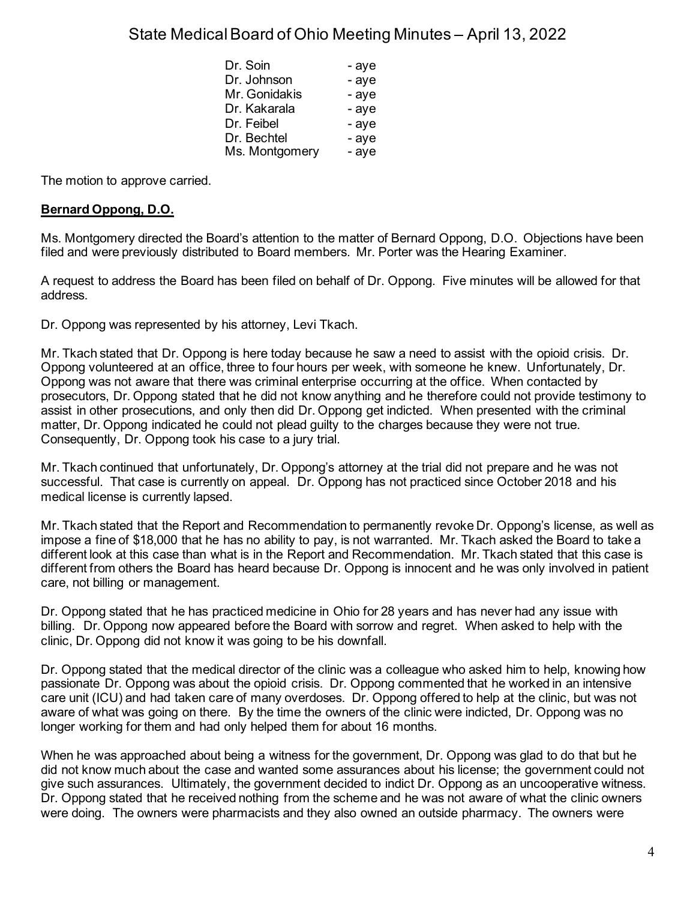| Dr. Soin       | - aye |
|----------------|-------|
| Dr. Johnson    | - aye |
| Mr. Gonidakis  | - aye |
| Dr. Kakarala   | - aye |
| Dr. Feibel     | - aye |
| Dr. Bechtel    | - aye |
| Ms. Montgomery | - aye |

The motion to approve carried.

## **Bernard Oppong, D.O.**

Ms. Montgomery directed the Board's attention to the matter of Bernard Oppong, D.O. Objections have been filed and were previously distributed to Board members. Mr. Porter was the Hearing Examiner.

A request to address the Board has been filed on behalf of Dr. Oppong. Five minutes will be allowed for that address.

Dr. Oppong was represented by his attorney, Levi Tkach.

Mr. Tkach stated that Dr. Oppong is here today because he saw a need to assist with the opioid crisis. Dr. Oppong volunteered at an office, three to four hours per week, with someone he knew. Unfortunately, Dr. Oppong was not aware that there was criminal enterprise occurring at the office. When contacted by prosecutors, Dr. Oppong stated that he did not know anything and he therefore could not provide testimony to assist in other prosecutions, and only then did Dr. Oppong get indicted. When presented with the criminal matter, Dr. Oppong indicated he could not plead guilty to the charges because they were not true. Consequently, Dr. Oppong took his case to a jury trial.

Mr. Tkach continued that unfortunately, Dr. Oppong's attorney at the trial did not prepare and he was not successful. That case is currently on appeal. Dr. Oppong has not practiced since October 2018 and his medical license is currently lapsed.

Mr. Tkach stated that the Report and Recommendation to permanently revoke Dr. Oppong's license, as well as impose a fine of \$18,000 that he has no ability to pay, is not warranted. Mr. Tkach asked the Board to take a different look at this case than what is in the Report and Recommendation. Mr. Tkach stated that this case is different from others the Board has heard because Dr. Oppong is innocent and he was only involved in patient care, not billing or management.

Dr. Oppong stated that he has practiced medicine in Ohio for 28 years and has never had any issue with billing. Dr. Oppong now appeared before the Board with sorrow and regret. When asked to help with the clinic, Dr. Oppong did not know it was going to be his downfall.

Dr. Oppong stated that the medical director of the clinic was a colleague who asked him to help, knowing how passionate Dr. Oppong was about the opioid crisis. Dr. Oppong commented that he worked in an intensive care unit (ICU) and had taken care of many overdoses. Dr. Oppong offered to help at the clinic, but was not aware of what was going on there. By the time the owners of the clinic were indicted, Dr. Oppong was no longer working for them and had only helped them for about 16 months.

When he was approached about being a witness for the government, Dr. Oppong was glad to do that but he did not know much about the case and wanted some assurances about his license; the government could not give such assurances. Ultimately, the government decided to indict Dr. Oppong as an uncooperative witness. Dr. Oppong stated that he received nothing from the scheme and he was not aware of what the clinic owners were doing. The owners were pharmacists and they also owned an outside pharmacy. The owners were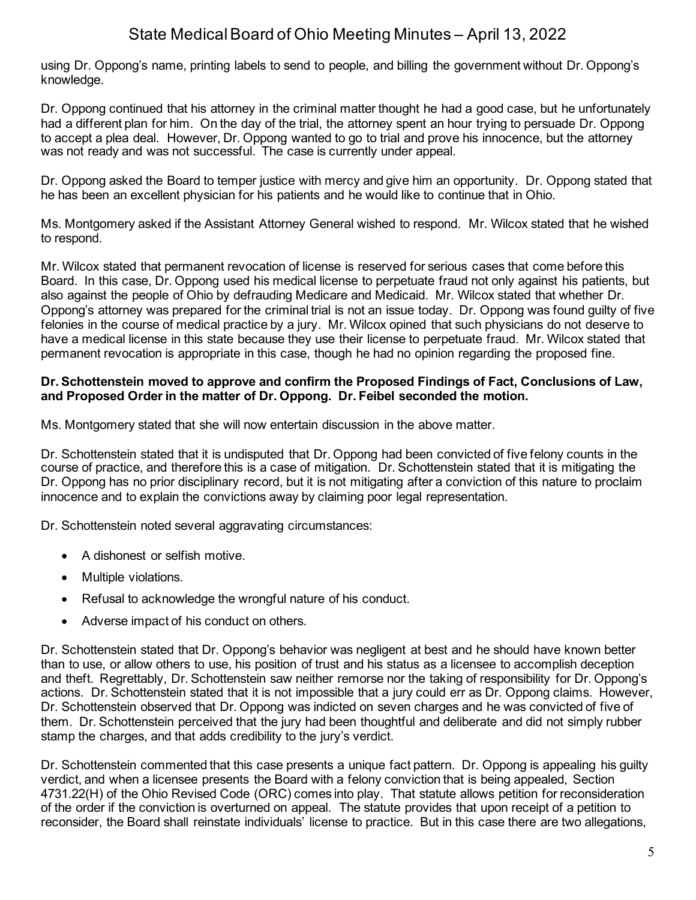using Dr. Oppong's name, printing labels to send to people, and billing the government without Dr. Oppong's knowledge.

Dr. Oppong continued that his attorney in the criminal matter thought he had a good case, but he unfortunately had a different plan for him. On the day of the trial, the attorney spent an hour trying to persuade Dr. Oppong to accept a plea deal. However, Dr. Oppong wanted to go to trial and prove his innocence, but the attorney was not ready and was not successful. The case is currently under appeal.

Dr. Oppong asked the Board to temper justice with mercy and give him an opportunity. Dr. Oppong stated that he has been an excellent physician for his patients and he would like to continue that in Ohio.

Ms. Montgomery asked if the Assistant Attorney General wished to respond. Mr. Wilcox stated that he wished to respond.

Mr. Wilcox stated that permanent revocation of license is reserved for serious cases that come before this Board. In this case, Dr. Oppong used his medical license to perpetuate fraud not only against his patients, but also against the people of Ohio by defrauding Medicare and Medicaid. Mr. Wilcox stated that whether Dr. Oppong's attorney was prepared for the criminal trial is not an issue today. Dr. Oppong was found guilty of five felonies in the course of medical practice by a jury. Mr. Wilcox opined that such physicians do not deserve to have a medical license in this state because they use their license to perpetuate fraud. Mr. Wilcox stated that permanent revocation is appropriate in this case, though he had no opinion regarding the proposed fine.

### **Dr. Schottenstein moved to approve and confirm the Proposed Findings of Fact, Conclusions of Law, and Proposed Order in the matter of Dr. Oppong. Dr. Feibel seconded the motion.**

Ms. Montgomery stated that she will now entertain discussion in the above matter.

Dr. Schottenstein stated that it is undisputed that Dr. Oppong had been convicted of five felony counts in the course of practice, and therefore this is a case of mitigation. Dr. Schottenstein stated that it is mitigating the Dr. Oppong has no prior disciplinary record, but it is not mitigating after a conviction of this nature to proclaim innocence and to explain the convictions away by claiming poor legal representation.

Dr. Schottenstein noted several aggravating circumstances:

- A dishonest or selfish motive.
- Multiple violations.
- Refusal to acknowledge the wrongful nature of his conduct.
- Adverse impact of his conduct on others.

Dr. Schottenstein stated that Dr. Oppong's behavior was negligent at best and he should have known better than to use, or allow others to use, his position of trust and his status as a licensee to accomplish deception and theft. Regrettably, Dr. Schottenstein saw neither remorse nor the taking of responsibility for Dr. Oppong's actions. Dr. Schottenstein stated that it is not impossible that a jury could err as Dr. Oppong claims. However, Dr. Schottenstein observed that Dr. Oppong was indicted on seven charges and he was convicted of five of them. Dr. Schottenstein perceived that the jury had been thoughtful and deliberate and did not simply rubber stamp the charges, and that adds credibility to the jury's verdict.

Dr. Schottenstein commented that this case presents a unique fact pattern. Dr. Oppong is appealing his guilty verdict, and when a licensee presents the Board with a felony conviction that is being appealed, Section 4731.22(H) of the Ohio Revised Code (ORC) comes into play. That statute allows petition for reconsideration of the order if the conviction is overturned on appeal. The statute provides that upon receipt of a petition to reconsider, the Board shall reinstate individuals' license to practice. But in this case there are two allegations,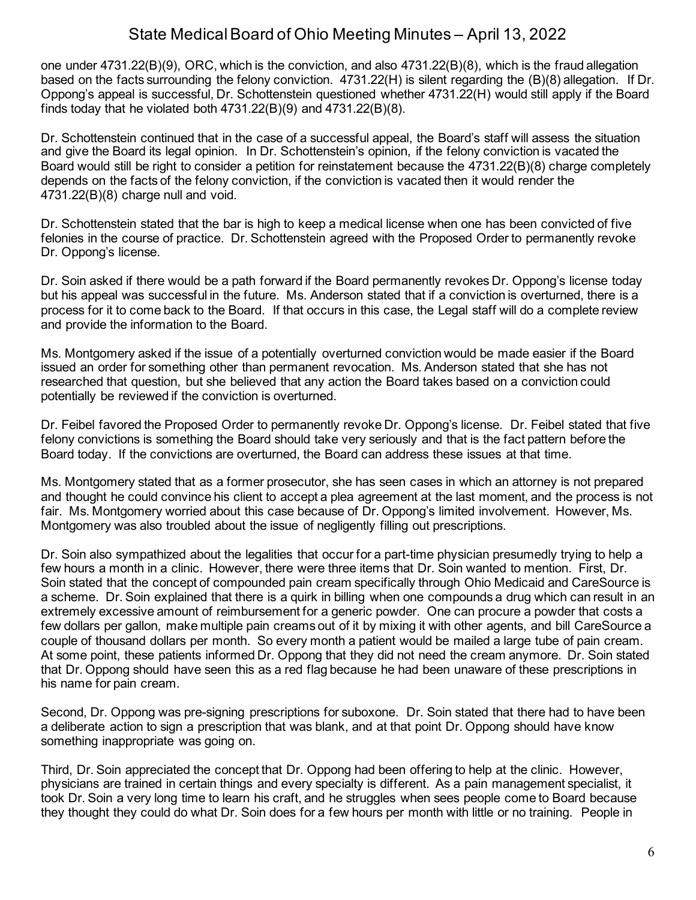one under 4731.22(B)(9), ORC, which is the conviction, and also 4731.22(B)(8), which is the fraud allegation based on the facts surrounding the felony conviction. 4731.22(H) is silent regarding the (B)(8) allegation. If Dr. Oppong's appeal is successful, Dr. Schottenstein questioned whether 4731.22(H) would still apply if the Board finds today that he violated both  $4731.22(B)(9)$  and  $4731.22(B)(8)$ .

Dr. Schottenstein continued that in the case of a successful appeal, the Board's staff will assess the situation and give the Board its legal opinion. In Dr. Schottenstein's opinion, if the felony conviction is vacated the Board would still be right to consider a petition for reinstatement because the 4731.22(B)(8) charge completely depends on the facts of the felony conviction, if the conviction is vacated then it would render the 4731.22(B)(8) charge null and void.

Dr. Schottenstein stated that the bar is high to keep a medical license when one has been convicted of five felonies in the course of practice. Dr. Schottenstein agreed with the Proposed Order to permanently revoke Dr. Oppong's license.

Dr. Soin asked if there would be a path forward if the Board permanently revokes Dr. Oppong's license today but his appeal was successful in the future. Ms. Anderson stated that if a conviction is overturned, there is a process for it to come back to the Board. If that occurs in this case, the Legal staff will do a complete review and provide the information to the Board.

Ms. Montgomery asked if the issue of a potentially overturned conviction would be made easier if the Board issued an order for something other than permanent revocation. Ms. Anderson stated that she has not researched that question, but she believed that any action the Board takes based on a conviction could potentially be reviewed if the conviction is overturned.

Dr. Feibel favored the Proposed Order to permanently revoke Dr. Oppong's license. Dr. Feibel stated that five felony convictions is something the Board should take very seriously and that is the fact pattern before the Board today. If the convictions are overturned, the Board can address these issues at that time.

Ms. Montgomery stated that as a former prosecutor, she has seen cases in which an attorney is not prepared and thought he could convince his client to accept a plea agreement at the last moment, and the process is not fair. Ms. Montgomery worried about this case because of Dr. Oppong's limited involvement. However, Ms. Montgomery was also troubled about the issue of negligently filling out prescriptions.

Dr. Soin also sympathized about the legalities that occur for a part-time physician presumedly trying to help a few hours a month in a clinic. However, there were three items that Dr. Soin wanted to mention. First, Dr. Soin stated that the concept of compounded pain cream specifically through Ohio Medicaid and CareSource is a scheme. Dr. Soin explained that there is a quirk in billing when one compounds a drug which can result in an extremely excessive amount of reimbursement for a generic powder. One can procure a powder that costs a few dollars per gallon, make multiple pain creams out of it by mixing it with other agents, and bill CareSource a couple of thousand dollars per month. So every month a patient would be mailed a large tube of pain cream. At some point, these patients informed Dr. Oppong that they did not need the cream anymore. Dr. Soin stated that Dr. Oppong should have seen this as a red flag because he had been unaware of these prescriptions in his name for pain cream.

Second, Dr. Oppong was pre-signing prescriptions for suboxone. Dr. Soin stated that there had to have been a deliberate action to sign a prescription that was blank, and at that point Dr. Oppong should have know something inappropriate was going on.

Third, Dr. Soin appreciated the concept that Dr. Oppong had been offering to help at the clinic. However, physicians are trained in certain things and every specialty is different. As a pain management specialist, it took Dr. Soin a very long time to learn his craft, and he struggles when sees people come to Board because they thought they could do what Dr. Soin does for a few hours per month with little or no training. People in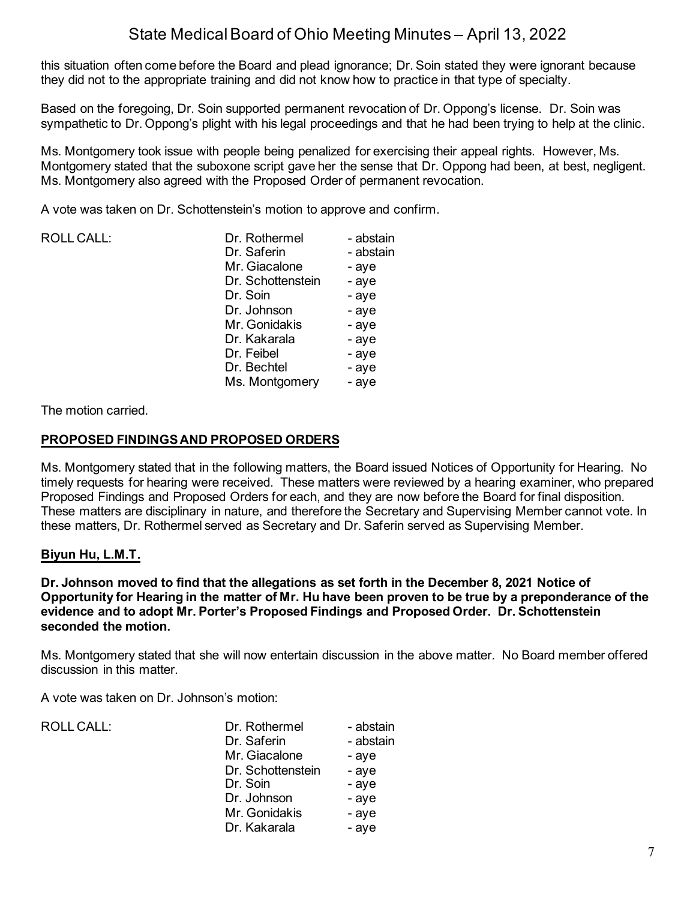this situation often come before the Board and plead ignorance; Dr. Soin stated they were ignorant because they did not to the appropriate training and did not know how to practice in that type of specialty.

Based on the foregoing, Dr. Soin supported permanent revocation of Dr. Oppong's license. Dr. Soin was sympathetic to Dr. Oppong's plight with his legal proceedings and that he had been trying to help at the clinic.

Ms. Montgomery took issue with people being penalized for exercising their appeal rights. However, Ms. Montgomery stated that the suboxone script gave her the sense that Dr. Oppong had been, at best, negligent. Ms. Montgomery also agreed with the Proposed Order of permanent revocation.

A vote was taken on Dr. Schottenstein's motion to approve and confirm.

| <b>ROLL CALL:</b> | Dr. Rothermel     | - abstain |
|-------------------|-------------------|-----------|
|                   | Dr. Saferin       | - abstain |
|                   | Mr. Giacalone     | - aye     |
|                   | Dr. Schottenstein | - aye     |
|                   | Dr. Soin          | - aye     |
|                   | Dr. Johnson       | - aye     |
|                   | Mr. Gonidakis     | - aye     |
|                   | Dr. Kakarala      | - aye     |
|                   | Dr. Feibel        | - aye     |
|                   | Dr. Bechtel       | - aye     |
|                   | Ms. Montgomery    | - aye     |

The motion carried.

### **PROPOSED FINDINGS AND PROPOSED ORDERS**

Ms. Montgomery stated that in the following matters, the Board issued Notices of Opportunity for Hearing. No timely requests for hearing were received. These matters were reviewed by a hearing examiner, who prepared Proposed Findings and Proposed Orders for each, and they are now before the Board for final disposition. These matters are disciplinary in nature, and therefore the Secretary and Supervising Member cannot vote. In these matters, Dr. Rothermel served as Secretary and Dr. Saferin served as Supervising Member.

### **Biyun Hu, L.M.T.**

**Dr. Johnson moved to find that the allegations as set forth in the December 8, 2021 Notice of Opportunity for Hearing in the matter of Mr. Hu have been proven to be true by a preponderance of the evidence and to adopt Mr. Porter's Proposed Findings and Proposed Order. Dr. Schottenstein seconded the motion.**

Ms. Montgomery stated that she will now entertain discussion in the above matter. No Board member offered discussion in this matter.

A vote was taken on Dr. Johnson's motion:

ROLL CALL:

| Dr. Rothermel<br>Dr. Saferin | - abstain<br>- abstain |
|------------------------------|------------------------|
| Mr. Giacalone                | - aye                  |
| Dr. Schottenstein            | - aye                  |
| Dr. Soin                     | - aye                  |
| Dr. Johnson                  | - aye                  |
| Mr. Gonidakis                | - aye                  |
| Dr. Kakarala                 | - aye                  |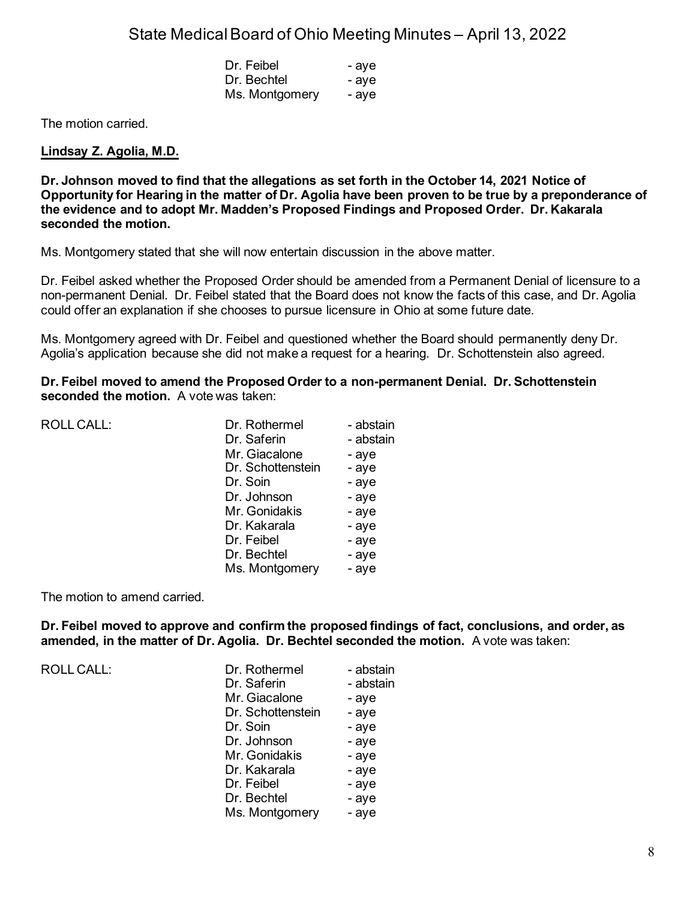| Dr. Feibel     | - aye |
|----------------|-------|
| Dr. Bechtel    | - aye |
| Ms. Montgomery | - aye |

The motion carried.

### **Lindsay Z. Agolia, M.D.**

**Dr. Johnson moved to find that the allegations as set forth in the October 14, 2021 Notice of Opportunity for Hearing in the matter of Dr. Agolia have been proven to be true by a preponderance of the evidence and to adopt Mr. Madden's Proposed Findings and Proposed Order. Dr. Kakarala seconded the motion.**

Ms. Montgomery stated that she will now entertain discussion in the above matter.

Dr. Feibel asked whether the Proposed Order should be amended from a Permanent Denial of licensure to a non-permanent Denial. Dr. Feibel stated that the Board does not know the facts of this case, and Dr. Agolia could offer an explanation if she chooses to pursue licensure in Ohio at some future date.

Ms. Montgomery agreed with Dr. Feibel and questioned whether the Board should permanently deny Dr. Agolia's application because she did not make a request for a hearing. Dr. Schottenstein also agreed.

**Dr. Feibel moved to amend the Proposed Order to a non-permanent Denial. Dr. Schottenstein seconded the motion.** A vote was taken:

| ROLL CALL: | Dr. Rothermel     | - abstain |
|------------|-------------------|-----------|
|            | Dr. Saferin       | - abstain |
|            | Mr. Giacalone     | - aye     |
|            | Dr. Schottenstein | - aye     |
|            | Dr. Soin          | - aye     |
|            | Dr. Johnson       | - aye     |
|            | Mr. Gonidakis     | - aye     |
|            | Dr. Kakarala      | - aye     |
|            | Dr. Feibel        | - aye     |
|            | Dr. Bechtel       | - aye     |
|            | Ms. Montgomery    | - aye     |

The motion to amend carried.

**Dr. Feibel moved to approve and confirm the proposed findings of fact, conclusions, and order, as amended, in the matter of Dr. Agolia. Dr. Bechtel seconded the motion.** A vote was taken:

ROLL CALL:

| Dr. Rothermel<br>Dr. Saferin | - abstain<br>- abstain |
|------------------------------|------------------------|
| Mr. Giacalone                | - aye                  |
| Dr. Schottenstein            | - aye                  |
| Dr. Soin                     | - aye                  |
| Dr. Johnson                  | - aye                  |
| Mr. Gonidakis                | - aye                  |
| Dr. Kakarala                 | - aye                  |
| Dr. Feibel                   | - aye                  |
| Dr. Bechtel                  | - aye                  |
| Ms. Montgomery               | - aye                  |
|                              |                        |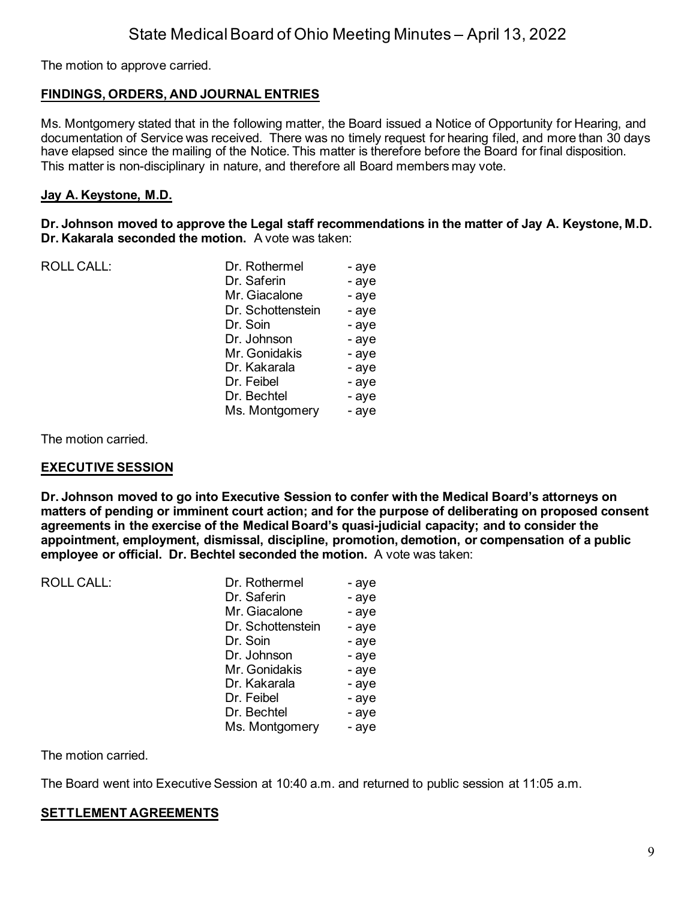The motion to approve carried.

## **FINDINGS, ORDERS, AND JOURNAL ENTRIES**

Ms. Montgomery stated that in the following matter, the Board issued a Notice of Opportunity for Hearing, and documentation of Service was received. There was no timely request for hearing filed, and more than 30 days have elapsed since the mailing of the Notice. This matter is therefore before the Board for final disposition. This matter is non-disciplinary in nature, and therefore all Board members may vote.

### **Jay A. Keystone, M.D.**

**Dr. Johnson moved to approve the Legal staff recommendations in the matter of Jay A. Keystone, M.D. Dr. Kakarala seconded the motion.** A vote was taken:

| <b>ROLL CALL:</b> | Dr. Rothermel     | - aye |
|-------------------|-------------------|-------|
|                   | Dr. Saferin       | - aye |
|                   | Mr. Giacalone     | - aye |
|                   | Dr. Schottenstein | - aye |
|                   | Dr. Soin          | - aye |
|                   | Dr. Johnson       | - aye |
|                   | Mr. Gonidakis     | - aye |
|                   | Dr. Kakarala      | - aye |
|                   | Dr. Feibel        | - aye |
|                   | Dr. Bechtel       | - aye |
|                   | Ms. Montgomery    | - aye |
|                   |                   |       |

The motion carried.

### **EXECUTIVE SESSION**

**Dr. Johnson moved to go into Executive Session to confer with the Medical Board's attorneys on matters of pending or imminent court action; and for the purpose of deliberating on proposed consent agreements in the exercise of the Medical Board's quasi-judicial capacity; and to consider the appointment, employment, dismissal, discipline, promotion, demotion, or compensation of a public employee or official. Dr. Bechtel seconded the motion.** A vote was taken:

| ROLL CALL: | Dr. Rothermel     | - aye |
|------------|-------------------|-------|
|            | Dr. Saferin       | - aye |
|            | Mr. Giacalone     | - aye |
|            | Dr. Schottenstein | - aye |
|            | Dr. Soin          | - aye |
|            | Dr. Johnson       | - aye |
|            | Mr. Gonidakis     | - aye |
|            | Dr. Kakarala      | - aye |
|            | Dr. Feibel        | - aye |
|            | Dr. Bechtel       | - aye |
|            | Ms. Montgomery    | - aye |
|            |                   |       |

The motion carried.

The Board went into Executive Session at 10:40 a.m. and returned to public session at 11:05 a.m.

### **SETTLEMENT AGREEMENTS**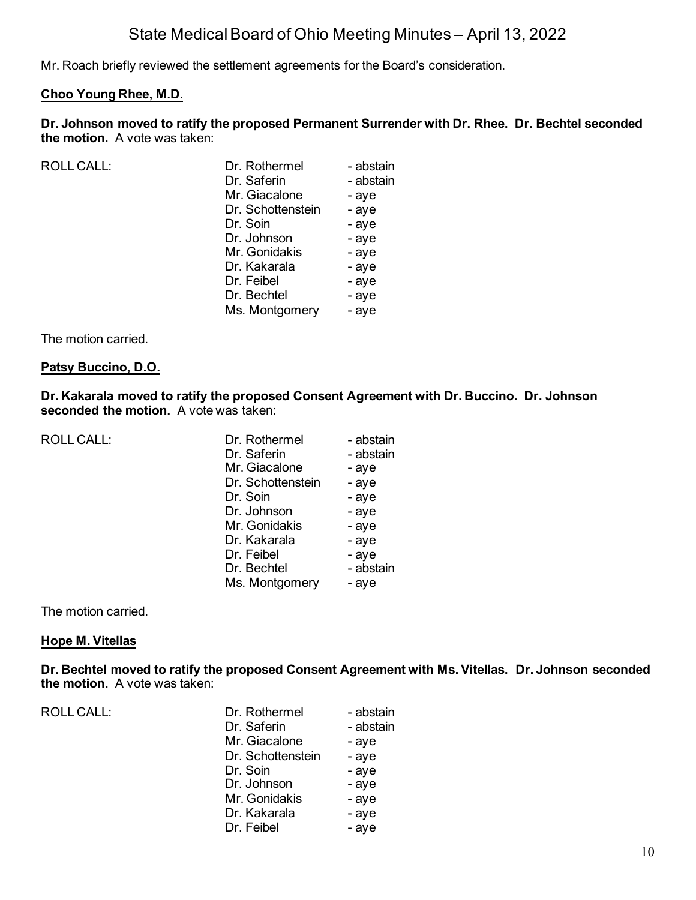Mr. Roach briefly reviewed the settlement agreements for the Board's consideration.

### **Choo Young Rhee, M.D.**

**Dr. Johnson moved to ratify the proposed Permanent Surrender with Dr. Rhee. Dr. Bechtel seconded the motion.** A vote was taken:

| <b>ROLL CALL:</b> | Dr. Rothermel     | - abstain |
|-------------------|-------------------|-----------|
|                   | Dr. Saferin       | - abstain |
|                   | Mr. Giacalone     | - aye     |
|                   | Dr. Schottenstein | - aye     |
|                   | Dr. Soin          | - aye     |
|                   | Dr. Johnson       | - aye     |
|                   | Mr. Gonidakis     | - aye     |
|                   | Dr. Kakarala      | - aye     |
|                   | Dr. Feibel        | - aye     |
|                   | Dr. Bechtel       | - aye     |
|                   | Ms. Montgomery    | - aye     |
|                   |                   |           |

The motion carried.

#### **Patsy Buccino, D.O.**

**Dr. Kakarala moved to ratify the proposed Consent Agreement with Dr. Buccino. Dr. Johnson seconded the motion.** A vote was taken:

| <b>ROLL CALL:</b> |  |
|-------------------|--|
|-------------------|--|

| ROLL CALL: | Dr. Rothermel     | - abstain |
|------------|-------------------|-----------|
|            | Dr. Saferin       | - abstain |
|            | Mr. Giacalone     | - aye     |
|            | Dr. Schottenstein | - aye     |
|            | Dr. Soin          | - aye     |
|            | Dr. Johnson       | - aye     |
|            | Mr. Gonidakis     | - aye     |
|            | Dr. Kakarala      | - aye     |
|            | Dr. Feibel        | - aye     |
|            | Dr. Bechtel       | - abstain |
|            | Ms. Montgomery    | - aye     |
|            |                   |           |

The motion carried.

### **Hope M. Vitellas**

**Dr. Bechtel moved to ratify the proposed Consent Agreement with Ms. Vitellas. Dr. Johnson seconded the motion.** A vote was taken:

| <b>ROLL CALL:</b> | Dr. Rothermel     | - abstain |
|-------------------|-------------------|-----------|
|                   | Dr. Saferin       | - abstain |
|                   | Mr. Giacalone     | - aye     |
|                   | Dr. Schottenstein | - aye     |
|                   | Dr. Soin          | - aye     |
|                   | Dr. Johnson       | - aye     |
|                   | Mr. Gonidakis     | - aye     |
|                   | Dr. Kakarala      | - aye     |
|                   | Dr. Feibel        | - aye     |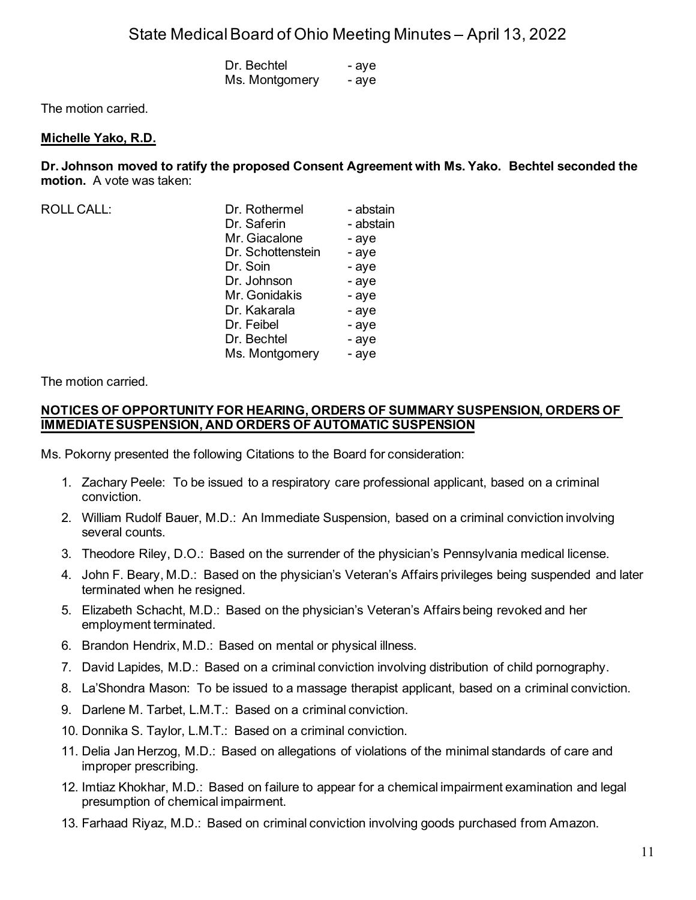| Dr. Bechtel    | - aye |
|----------------|-------|
| Ms. Montgomery | - aye |

The motion carried.

#### **Michelle Yako, R.D.**

**Dr. Johnson moved to ratify the proposed Consent Agreement with Ms. Yako. Bechtel seconded the motion.** A vote was taken:

| <b>ROLL CALL:</b> | Dr. Rothermel     | - abstain |
|-------------------|-------------------|-----------|
|                   | Dr. Saferin       | - abstain |
|                   | Mr. Giacalone     | - aye     |
|                   | Dr. Schottenstein | - aye     |
|                   | Dr. Soin          | - aye     |
|                   | Dr. Johnson       | - aye     |
|                   | Mr. Gonidakis     | - aye     |
|                   | Dr. Kakarala      | - aye     |
|                   | Dr. Feibel        | - aye     |
|                   | Dr. Bechtel       | - aye     |
|                   | Ms. Montgomery    | - aye     |
|                   |                   |           |

The motion carried.

#### **NOTICES OF OPPORTUNITY FOR HEARING, ORDERS OF SUMMARY SUSPENSION, ORDERS OF IMMEDIATE SUSPENSION, AND ORDERS OF AUTOMATIC SUSPENSION**

Ms. Pokorny presented the following Citations to the Board for consideration:

- 1. Zachary Peele: To be issued to a respiratory care professional applicant, based on a criminal conviction.
- 2. William Rudolf Bauer, M.D.: An Immediate Suspension, based on a criminal conviction involving several counts.
- 3. Theodore Riley, D.O.: Based on the surrender of the physician's Pennsylvania medical license.
- 4. John F. Beary, M.D.: Based on the physician's Veteran's Affairs privileges being suspended and later terminated when he resigned.
- 5. Elizabeth Schacht, M.D.: Based on the physician's Veteran's Affairs being revoked and her employment terminated.
- 6. Brandon Hendrix, M.D.: Based on mental or physical illness.
- 7. David Lapides, M.D.: Based on a criminal conviction involving distribution of child pornography.
- 8. La'Shondra Mason: To be issued to a massage therapist applicant, based on a criminal conviction.
- 9. Darlene M. Tarbet, L.M.T.: Based on a criminal conviction.
- 10. Donnika S. Taylor, L.M.T.: Based on a criminal conviction.
- 11. Delia Jan Herzog, M.D.: Based on allegations of violations of the minimal standards of care and improper prescribing.
- 12. Imtiaz Khokhar, M.D.: Based on failure to appear for a chemical impairment examination and legal presumption of chemical impairment.
- 13. Farhaad Riyaz, M.D.: Based on criminal conviction involving goods purchased from Amazon.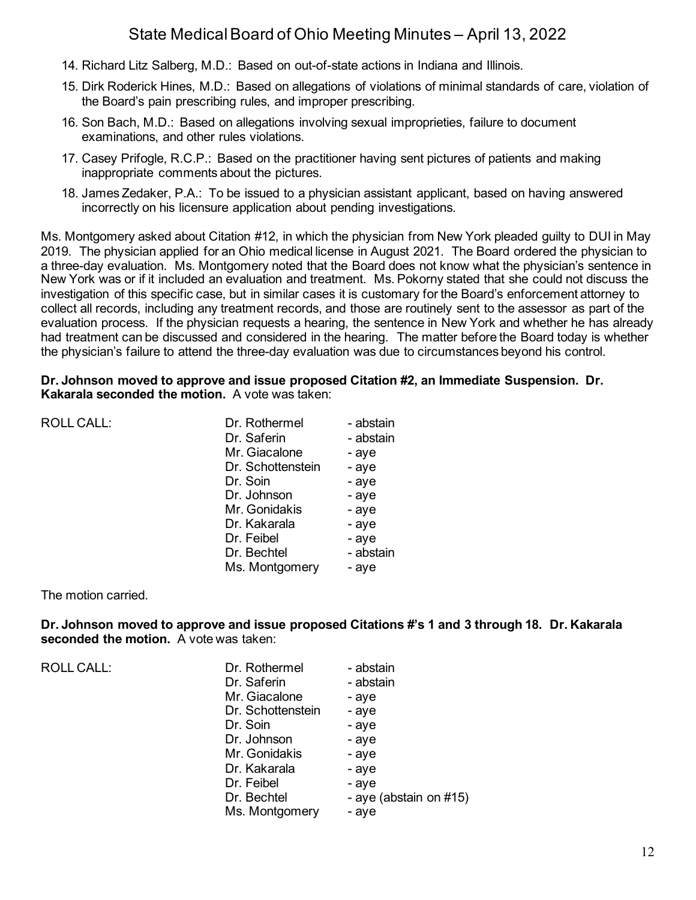- 14. Richard Litz Salberg, M.D.: Based on out-of-state actions in Indiana and Illinois.
- 15. Dirk Roderick Hines, M.D.: Based on allegations of violations of minimal standards of care, violation of the Board's pain prescribing rules, and improper prescribing.
- 16. Son Bach, M.D.: Based on allegations involving sexual improprieties, failure to document examinations, and other rules violations.
- 17. Casey Prifogle, R.C.P.: Based on the practitioner having sent pictures of patients and making inappropriate comments about the pictures.
- 18. James Zedaker, P.A.: To be issued to a physician assistant applicant, based on having answered incorrectly on his licensure application about pending investigations.

Ms. Montgomery asked about Citation #12, in which the physician from New York pleaded guilty to DUI in May 2019. The physician applied for an Ohio medical license in August 2021. The Board ordered the physician to a three-day evaluation. Ms. Montgomery noted that the Board does not know what the physician's sentence in New York was or if it included an evaluation and treatment. Ms. Pokorny stated that she could not discuss the investigation of this specific case, but in similar cases it is customary for the Board's enforcement attorney to collect all records, including any treatment records, and those are routinely sent to the assessor as part of the evaluation process. If the physician requests a hearing, the sentence in New York and whether he has already had treatment can be discussed and considered in the hearing. The matter before the Board today is whether the physician's failure to attend the three-day evaluation was due to circumstances beyond his control.

### **Dr. Johnson moved to approve and issue proposed Citation #2, an Immediate Suspension. Dr. Kakarala seconded the motion.** A vote was taken:

| <b>ROLL CALL:</b> | Dr. Rothermel     | - abstain |
|-------------------|-------------------|-----------|
|                   | Dr. Saferin       | - abstain |
|                   | Mr. Giacalone     | - aye     |
|                   | Dr. Schottenstein | - aye     |
|                   | Dr. Soin          | - aye     |
|                   | Dr. Johnson       | - aye     |
|                   | Mr. Gonidakis     | - aye     |
|                   | Dr. Kakarala      | - aye     |
|                   | Dr. Feibel        | - aye     |
|                   | Dr. Bechtel       | - abstain |
|                   | Ms. Montgomery    | - aye     |
|                   |                   |           |

The motion carried.

**Dr. Johnson moved to approve and issue proposed Citations #'s 1 and 3 through 18. Dr. Kakarala seconded the motion.** A vote was taken:

ROLL CALL:

| Dr. Rothermel     | - abstain              |
|-------------------|------------------------|
| Dr. Saferin       | - abstain              |
| Mr. Giacalone     | - aye                  |
| Dr. Schottenstein | - aye                  |
| Dr. Soin          | - aye                  |
| Dr. Johnson       | - aye                  |
| Mr. Gonidakis     | - aye                  |
| Dr. Kakarala      | - aye                  |
| Dr. Feibel        | - aye                  |
| Dr. Bechtel       | - aye (abstain on #15) |
| Ms. Montgomery    | - aye                  |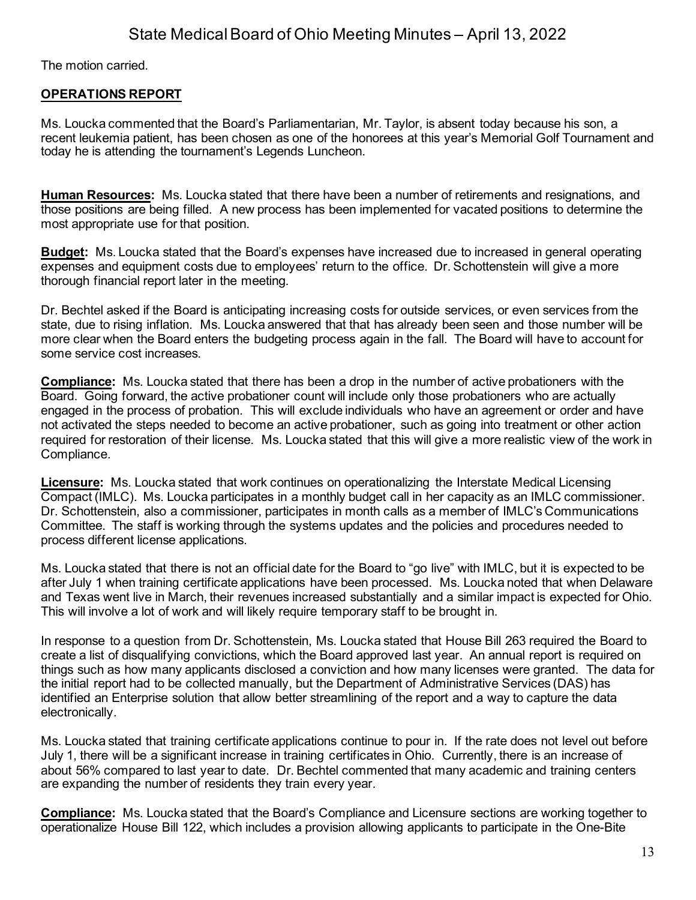The motion carried.

## **OPERATIONS REPORT**

Ms. Loucka commented that the Board's Parliamentarian, Mr. Taylor, is absent today because his son, a recent leukemia patient, has been chosen as one of the honorees at this year's Memorial Golf Tournament and today he is attending the tournament's Legends Luncheon.

**Human Resources:** Ms. Loucka stated that there have been a number of retirements and resignations, and those positions are being filled. A new process has been implemented for vacated positions to determine the most appropriate use for that position.

**Budget:** Ms. Loucka stated that the Board's expenses have increased due to increased in general operating expenses and equipment costs due to employees' return to the office. Dr. Schottenstein will give a more thorough financial report later in the meeting.

Dr. Bechtel asked if the Board is anticipating increasing costs for outside services, or even services from the state, due to rising inflation. Ms. Loucka answered that that has already been seen and those number will be more clear when the Board enters the budgeting process again in the fall. The Board will have to account for some service cost increases.

**Compliance:** Ms. Loucka stated that there has been a drop in the number of active probationers with the Board. Going forward, the active probationer count will include only those probationers who are actually engaged in the process of probation. This will exclude individuals who have an agreement or order and have not activated the steps needed to become an active probationer, such as going into treatment or other action required for restoration of their license. Ms. Loucka stated that this will give a more realistic view of the work in Compliance.

**Licensure:** Ms. Loucka stated that work continues on operationalizing the Interstate Medical Licensing Compact (IMLC). Ms. Loucka participates in a monthly budget call in her capacity as an IMLC commissioner. Dr. Schottenstein, also a commissioner, participates in month calls as a member of IMLC's Communications Committee. The staff is working through the systems updates and the policies and procedures needed to process different license applications.

Ms. Loucka stated that there is not an official date for the Board to "go live" with IMLC, but it is expected to be after July 1 when training certificate applications have been processed. Ms. Loucka noted that when Delaware and Texas went live in March, their revenues increased substantially and a similar impact is expected for Ohio. This will involve a lot of work and will likely require temporary staff to be brought in.

In response to a question from Dr. Schottenstein, Ms. Loucka stated that House Bill 263 required the Board to create a list of disqualifying convictions, which the Board approved last year. An annual report is required on things such as how many applicants disclosed a conviction and how many licenses were granted. The data for the initial report had to be collected manually, but the Department of Administrative Services (DAS) has identified an Enterprise solution that allow better streamlining of the report and a way to capture the data electronically.

Ms. Loucka stated that training certificate applications continue to pour in. If the rate does not level out before July 1, there will be a significant increase in training certificates in Ohio. Currently, there is an increase of about 56% compared to last year to date. Dr. Bechtel commented that many academic and training centers are expanding the number of residents they train every year.

**Compliance:** Ms. Loucka stated that the Board's Compliance and Licensure sections are working together to operationalize House Bill 122, which includes a provision allowing applicants to participate in the One-Bite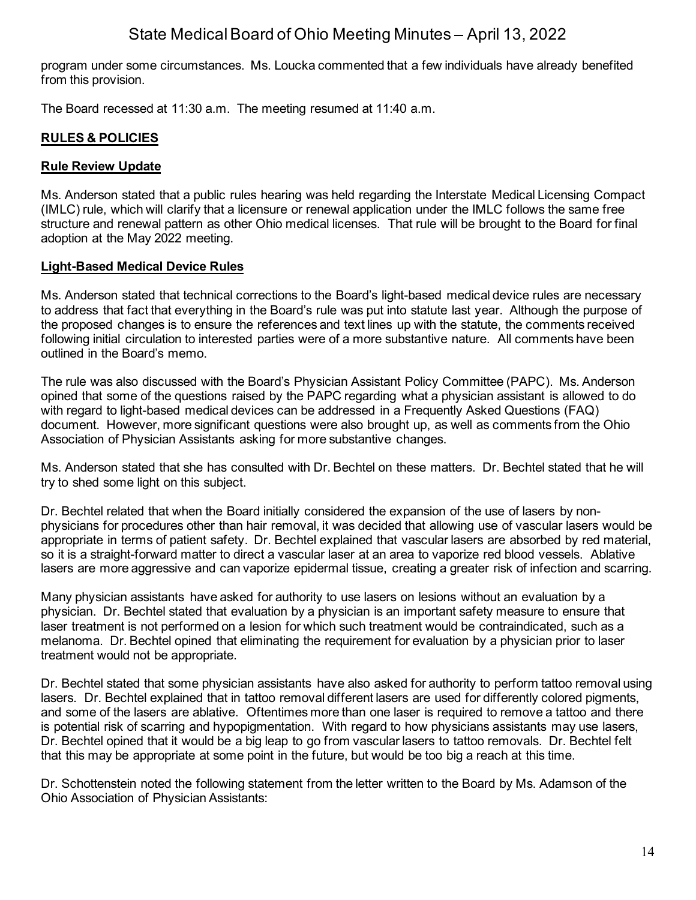program under some circumstances. Ms. Loucka commented that a few individuals have already benefited from this provision.

The Board recessed at 11:30 a.m. The meeting resumed at 11:40 a.m.

## **RULES & POLICIES**

### **Rule Review Update**

Ms. Anderson stated that a public rules hearing was held regarding the Interstate Medical Licensing Compact (IMLC) rule, which will clarify that a licensure or renewal application under the IMLC follows the same free structure and renewal pattern as other Ohio medical licenses. That rule will be brought to the Board for final adoption at the May 2022 meeting.

### **Light-Based Medical Device Rules**

Ms. Anderson stated that technical corrections to the Board's light-based medical device rules are necessary to address that fact that everything in the Board's rule was put into statute last year. Although the purpose of the proposed changes is to ensure the references and text lines up with the statute, the comments received following initial circulation to interested parties were of a more substantive nature. All comments have been outlined in the Board's memo.

The rule was also discussed with the Board's Physician Assistant Policy Committee (PAPC). Ms. Anderson opined that some of the questions raised by the PAPC regarding what a physician assistant is allowed to do with regard to light-based medical devices can be addressed in a Frequently Asked Questions (FAQ) document. However, more significant questions were also brought up, as well as comments from the Ohio Association of Physician Assistants asking for more substantive changes.

Ms. Anderson stated that she has consulted with Dr. Bechtel on these matters. Dr. Bechtel stated that he will try to shed some light on this subject.

Dr. Bechtel related that when the Board initially considered the expansion of the use of lasers by nonphysicians for procedures other than hair removal, it was decided that allowing use of vascular lasers would be appropriate in terms of patient safety. Dr. Bechtel explained that vascular lasers are absorbed by red material, so it is a straight-forward matter to direct a vascular laser at an area to vaporize red blood vessels. Ablative lasers are more aggressive and can vaporize epidermal tissue, creating a greater risk of infection and scarring.

Many physician assistants have asked for authority to use lasers on lesions without an evaluation by a physician. Dr. Bechtel stated that evaluation by a physician is an important safety measure to ensure that laser treatment is not performed on a lesion for which such treatment would be contraindicated, such as a melanoma. Dr. Bechtel opined that eliminating the requirement for evaluation by a physician prior to laser treatment would not be appropriate.

Dr. Bechtel stated that some physician assistants have also asked for authority to perform tattoo removal using lasers. Dr. Bechtel explained that in tattoo removal different lasers are used for differently colored pigments, and some of the lasers are ablative. Oftentimes more than one laser is required to remove a tattoo and there is potential risk of scarring and hypopigmentation. With regard to how physicians assistants may use lasers, Dr. Bechtel opined that it would be a big leap to go from vascular lasers to tattoo removals. Dr. Bechtel felt that this may be appropriate at some point in the future, but would be too big a reach at this time.

Dr. Schottenstein noted the following statement from the letter written to the Board by Ms. Adamson of the Ohio Association of Physician Assistants: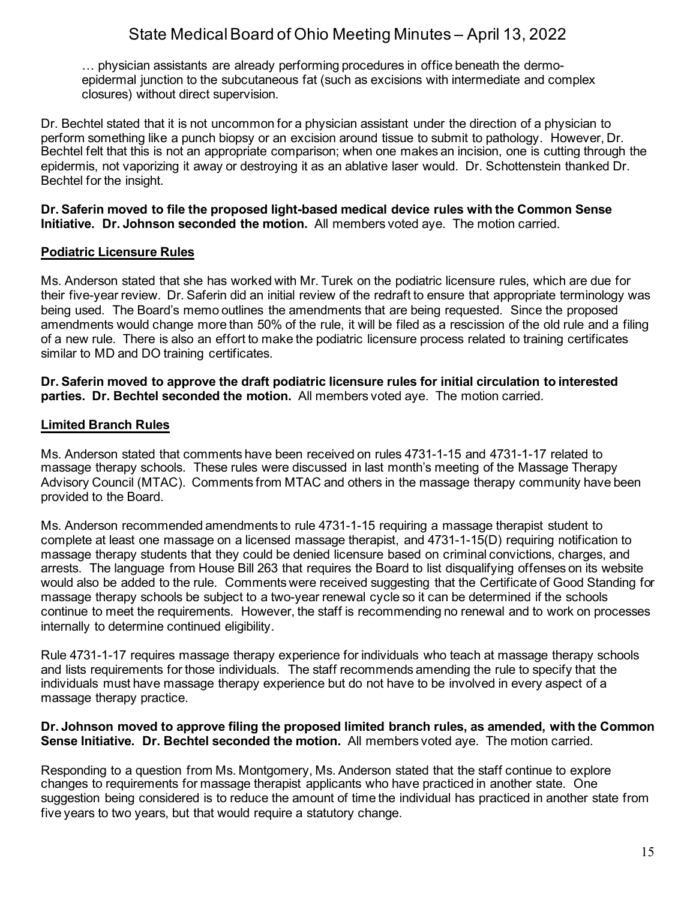… physician assistants are already performing procedures in office beneath the dermoepidermal junction to the subcutaneous fat (such as excisions with intermediate and complex closures) without direct supervision.

Dr. Bechtel stated that it is not uncommon for a physician assistant under the direction of a physician to perform something like a punch biopsy or an excision around tissue to submit to pathology. However, Dr. Bechtel felt that this is not an appropriate comparison; when one makes an incision, one is cutting through the epidermis, not vaporizing it away or destroying it as an ablative laser would. Dr. Schottenstein thanked Dr. Bechtel for the insight.

**Dr. Saferin moved to file the proposed light-based medical device rules with the Common Sense Initiative. Dr. Johnson seconded the motion.** All members voted aye. The motion carried.

### **Podiatric Licensure Rules**

Ms. Anderson stated that she has worked with Mr. Turek on the podiatric licensure rules, which are due for their five-year review. Dr. Saferin did an initial review of the redraft to ensure that appropriate terminology was being used. The Board's memo outlines the amendments that are being requested. Since the proposed amendments would change more than 50% of the rule, it will be filed as a rescission of the old rule and a filing of a new rule. There is also an effort to make the podiatric licensure process related to training certificates similar to MD and DO training certificates.

**Dr. Saferin moved to approve the draft podiatric licensure rules for initial circulation to interested parties. Dr. Bechtel seconded the motion.** All members voted aye. The motion carried.

### **Limited Branch Rules**

Ms. Anderson stated that comments have been received on rules 4731-1-15 and 4731-1-17 related to massage therapy schools. These rules were discussed in last month's meeting of the Massage Therapy Advisory Council (MTAC). Comments from MTAC and others in the massage therapy community have been provided to the Board.

Ms. Anderson recommended amendments to rule 4731-1-15 requiring a massage therapist student to complete at least one massage on a licensed massage therapist, and 4731-1-15(D) requiring notification to massage therapy students that they could be denied licensure based on criminal convictions, charges, and arrests. The language from House Bill 263 that requires the Board to list disqualifying offenses on its website would also be added to the rule. Comments were received suggesting that the Certificate of Good Standing for massage therapy schools be subject to a two-year renewal cycle so it can be determined if the schools continue to meet the requirements. However, the staff is recommending no renewal and to work on processes internally to determine continued eligibility.

Rule 4731-1-17 requires massage therapy experience for individuals who teach at massage therapy schools and lists requirements for those individuals. The staff recommends amending the rule to specify that the individuals must have massage therapy experience but do not have to be involved in every aspect of a massage therapy practice.

#### **Dr. Johnson moved to approve filing the proposed limited branch rules, as amended, with the Common Sense Initiative. Dr. Bechtel seconded the motion.** All members voted aye. The motion carried.

Responding to a question from Ms. Montgomery, Ms. Anderson stated that the staff continue to explore changes to requirements for massage therapist applicants who have practiced in another state. One suggestion being considered is to reduce the amount of time the individual has practiced in another state from five years to two years, but that would require a statutory change.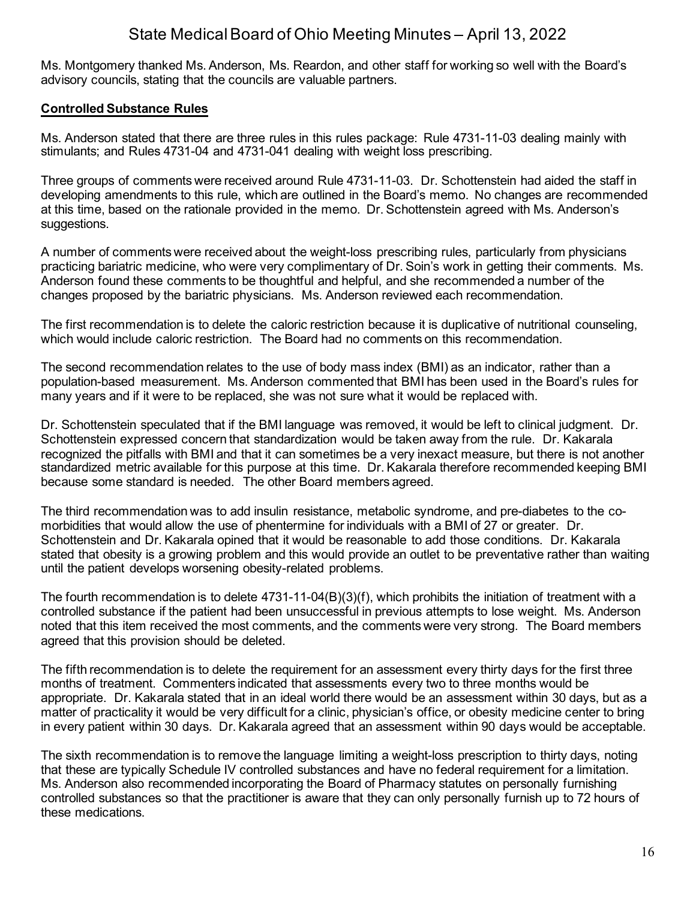Ms. Montgomery thanked Ms. Anderson, Ms. Reardon, and other staff for working so well with the Board's advisory councils, stating that the councils are valuable partners.

## **Controlled Substance Rules**

Ms. Anderson stated that there are three rules in this rules package: Rule 4731-11-03 dealing mainly with stimulants; and Rules 4731-04 and 4731-041 dealing with weight loss prescribing.

Three groups of comments were received around Rule 4731-11-03. Dr. Schottenstein had aided the staff in developing amendments to this rule, which are outlined in the Board's memo. No changes are recommended at this time, based on the rationale provided in the memo. Dr. Schottenstein agreed with Ms. Anderson's suggestions.

A number of comments were received about the weight-loss prescribing rules, particularly from physicians practicing bariatric medicine, who were very complimentary of Dr. Soin's work in getting their comments. Ms. Anderson found these comments to be thoughtful and helpful, and she recommended a number of the changes proposed by the bariatric physicians. Ms. Anderson reviewed each recommendation.

The first recommendation is to delete the caloric restriction because it is duplicative of nutritional counseling, which would include caloric restriction. The Board had no comments on this recommendation.

The second recommendation relates to the use of body mass index (BMI) as an indicator, rather than a population-based measurement. Ms. Anderson commented that BMI has been used in the Board's rules for many years and if it were to be replaced, she was not sure what it would be replaced with.

Dr. Schottenstein speculated that if the BMI language was removed, it would be left to clinical judgment. Dr. Schottenstein expressed concern that standardization would be taken away from the rule. Dr. Kakarala recognized the pitfalls with BMI and that it can sometimes be a very inexact measure, but there is not another standardized metric available for this purpose at this time. Dr. Kakarala therefore recommended keeping BMI because some standard is needed. The other Board members agreed.

The third recommendation was to add insulin resistance, metabolic syndrome, and pre-diabetes to the comorbidities that would allow the use of phentermine for individuals with a BMI of 27 or greater. Dr. Schottenstein and Dr. Kakarala opined that it would be reasonable to add those conditions. Dr. Kakarala stated that obesity is a growing problem and this would provide an outlet to be preventative rather than waiting until the patient develops worsening obesity-related problems.

The fourth recommendation is to delete 4731-11-04(B)(3)(f), which prohibits the initiation of treatment with a controlled substance if the patient had been unsuccessful in previous attempts to lose weight. Ms. Anderson noted that this item received the most comments, and the comments were very strong. The Board members agreed that this provision should be deleted.

The fifth recommendation is to delete the requirement for an assessment every thirty days for the first three months of treatment. Commenters indicated that assessments every two to three months would be appropriate. Dr. Kakarala stated that in an ideal world there would be an assessment within 30 days, but as a matter of practicality it would be very difficult for a clinic, physician's office, or obesity medicine center to bring in every patient within 30 days. Dr. Kakarala agreed that an assessment within 90 days would be acceptable.

The sixth recommendation is to remove the language limiting a weight-loss prescription to thirty days, noting that these are typically Schedule IV controlled substances and have no federal requirement for a limitation. Ms. Anderson also recommended incorporating the Board of Pharmacy statutes on personally furnishing controlled substances so that the practitioner is aware that they can only personally furnish up to 72 hours of these medications.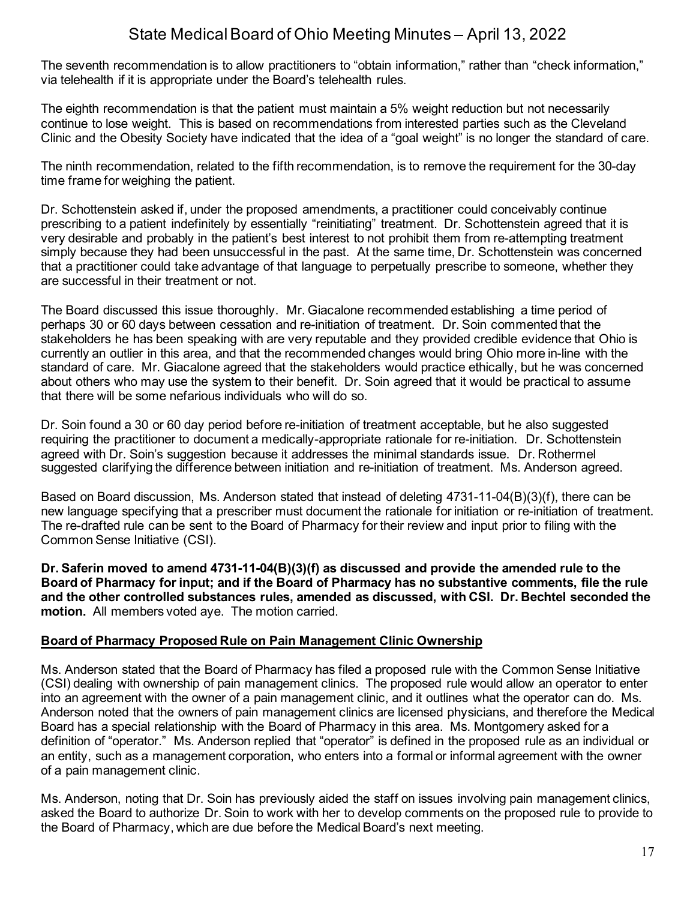The seventh recommendation is to allow practitioners to "obtain information," rather than "check information," via telehealth if it is appropriate under the Board's telehealth rules.

The eighth recommendation is that the patient must maintain a 5% weight reduction but not necessarily continue to lose weight. This is based on recommendations from interested parties such as the Cleveland Clinic and the Obesity Society have indicated that the idea of a "goal weight" is no longer the standard of care.

The ninth recommendation, related to the fifth recommendation, is to remove the requirement for the 30-day time frame for weighing the patient.

Dr. Schottenstein asked if, under the proposed amendments, a practitioner could conceivably continue prescribing to a patient indefinitely by essentially "reinitiating" treatment. Dr. Schottenstein agreed that it is very desirable and probably in the patient's best interest to not prohibit them from re-attempting treatment simply because they had been unsuccessful in the past. At the same time, Dr. Schottenstein was concerned that a practitioner could take advantage of that language to perpetually prescribe to someone, whether they are successful in their treatment or not.

The Board discussed this issue thoroughly. Mr. Giacalone recommended establishing a time period of perhaps 30 or 60 days between cessation and re-initiation of treatment. Dr. Soin commented that the stakeholders he has been speaking with are very reputable and they provided credible evidence that Ohio is currently an outlier in this area, and that the recommended changes would bring Ohio more in-line with the standard of care. Mr. Giacalone agreed that the stakeholders would practice ethically, but he was concerned about others who may use the system to their benefit. Dr. Soin agreed that it would be practical to assume that there will be some nefarious individuals who will do so.

Dr. Soin found a 30 or 60 day period before re-initiation of treatment acceptable, but he also suggested requiring the practitioner to document a medically-appropriate rationale for re-initiation. Dr. Schottenstein agreed with Dr. Soin's suggestion because it addresses the minimal standards issue. Dr. Rothermel suggested clarifying the difference between initiation and re-initiation of treatment. Ms. Anderson agreed.

Based on Board discussion, Ms. Anderson stated that instead of deleting 4731-11-04(B)(3)(f), there can be new language specifying that a prescriber must document the rationale for initiation or re-initiation of treatment. The re-drafted rule can be sent to the Board of Pharmacy for their review and input prior to filing with the Common Sense Initiative (CSI).

**Dr. Saferin moved to amend 4731-11-04(B)(3)(f) as discussed and provide the amended rule to the Board of Pharmacy for input; and if the Board of Pharmacy has no substantive comments, file the rule and the other controlled substances rules, amended as discussed, with CSI. Dr. Bechtel seconded the motion.** All members voted aye. The motion carried.

### **Board of Pharmacy Proposed Rule on Pain Management Clinic Ownership**

Ms. Anderson stated that the Board of Pharmacy has filed a proposed rule with the Common Sense Initiative (CSI) dealing with ownership of pain management clinics. The proposed rule would allow an operator to enter into an agreement with the owner of a pain management clinic, and it outlines what the operator can do. Ms. Anderson noted that the owners of pain management clinics are licensed physicians, and therefore the Medical Board has a special relationship with the Board of Pharmacy in this area. Ms. Montgomery asked for a definition of "operator." Ms. Anderson replied that "operator" is defined in the proposed rule as an individual or an entity, such as a management corporation, who enters into a formal or informal agreement with the owner of a pain management clinic.

Ms. Anderson, noting that Dr. Soin has previously aided the staff on issues involving pain management clinics, asked the Board to authorize Dr. Soin to work with her to develop comments on the proposed rule to provide to the Board of Pharmacy, which are due before the Medical Board's next meeting.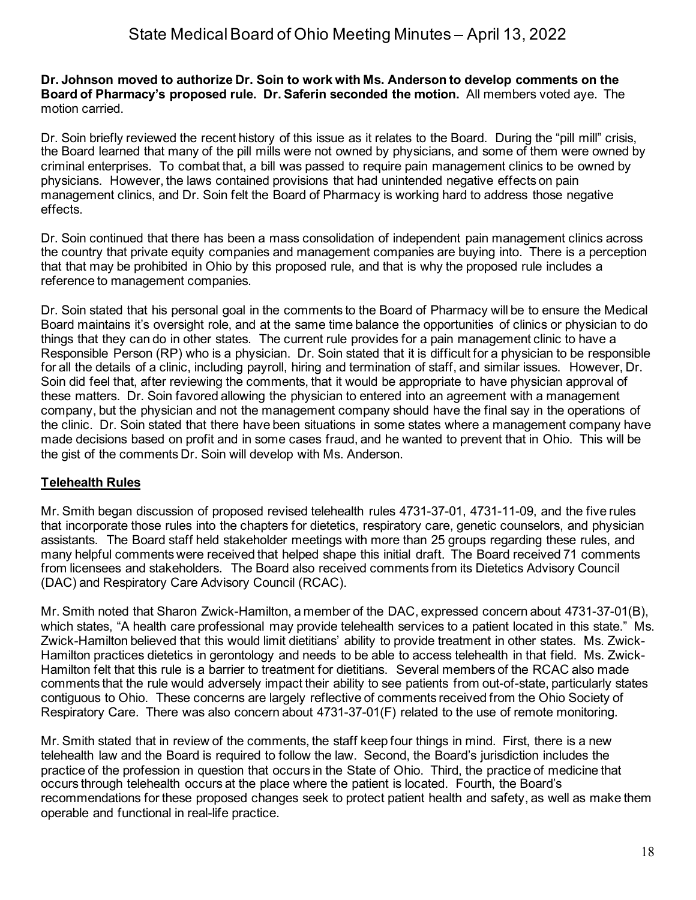#### **Dr. Johnson moved to authorize Dr. Soin to work with Ms. Anderson to develop comments on the Board of Pharmacy's proposed rule. Dr. Saferin seconded the motion.** All members voted aye. The motion carried.

Dr. Soin briefly reviewed the recent history of this issue as it relates to the Board. During the "pill mill" crisis, the Board learned that many of the pill mills were not owned by physicians, and some of them were owned by criminal enterprises. To combat that, a bill was passed to require pain management clinics to be owned by physicians. However, the laws contained provisions that had unintended negative effects on pain management clinics, and Dr. Soin felt the Board of Pharmacy is working hard to address those negative effects.

Dr. Soin continued that there has been a mass consolidation of independent pain management clinics across the country that private equity companies and management companies are buying into. There is a perception that that may be prohibited in Ohio by this proposed rule, and that is why the proposed rule includes a reference to management companies.

Dr. Soin stated that his personal goal in the comments to the Board of Pharmacy will be to ensure the Medical Board maintains it's oversight role, and at the same time balance the opportunities of clinics or physician to do things that they can do in other states. The current rule provides for a pain management clinic to have a Responsible Person (RP) who is a physician. Dr. Soin stated that it is difficult for a physician to be responsible for all the details of a clinic, including payroll, hiring and termination of staff, and similar issues. However, Dr. Soin did feel that, after reviewing the comments, that it would be appropriate to have physician approval of these matters. Dr. Soin favored allowing the physician to entered into an agreement with a management company, but the physician and not the management company should have the final say in the operations of the clinic. Dr. Soin stated that there have been situations in some states where a management company have made decisions based on profit and in some cases fraud, and he wanted to prevent that in Ohio. This will be the gist of the comments Dr. Soin will develop with Ms. Anderson.

## **Telehealth Rules**

Mr. Smith began discussion of proposed revised telehealth rules 4731-37-01, 4731-11-09, and the five rules that incorporate those rules into the chapters for dietetics, respiratory care, genetic counselors, and physician assistants. The Board staff held stakeholder meetings with more than 25 groups regarding these rules, and many helpful comments were received that helped shape this initial draft. The Board received 71 comments from licensees and stakeholders. The Board also received comments from its Dietetics Advisory Council (DAC) and Respiratory Care Advisory Council (RCAC).

Mr. Smith noted that Sharon Zwick-Hamilton, a member of the DAC, expressed concern about 4731-37-01(B), which states, "A health care professional may provide telehealth services to a patient located in this state." Ms. Zwick-Hamilton believed that this would limit dietitians' ability to provide treatment in other states. Ms. Zwick-Hamilton practices dietetics in gerontology and needs to be able to access telehealth in that field. Ms. Zwick-Hamilton felt that this rule is a barrier to treatment for dietitians. Several members of the RCAC also made comments that the rule would adversely impact their ability to see patients from out-of-state, particularly states contiguous to Ohio. These concerns are largely reflective of comments received from the Ohio Society of Respiratory Care. There was also concern about 4731-37-01(F) related to the use of remote monitoring.

Mr. Smith stated that in review of the comments, the staff keep four things in mind. First, there is a new telehealth law and the Board is required to follow the law. Second, the Board's jurisdiction includes the practice of the profession in question that occurs in the State of Ohio. Third, the practice of medicine that occurs through telehealth occurs at the place where the patient is located. Fourth, the Board's recommendations for these proposed changes seek to protect patient health and safety, as well as make them operable and functional in real-life practice.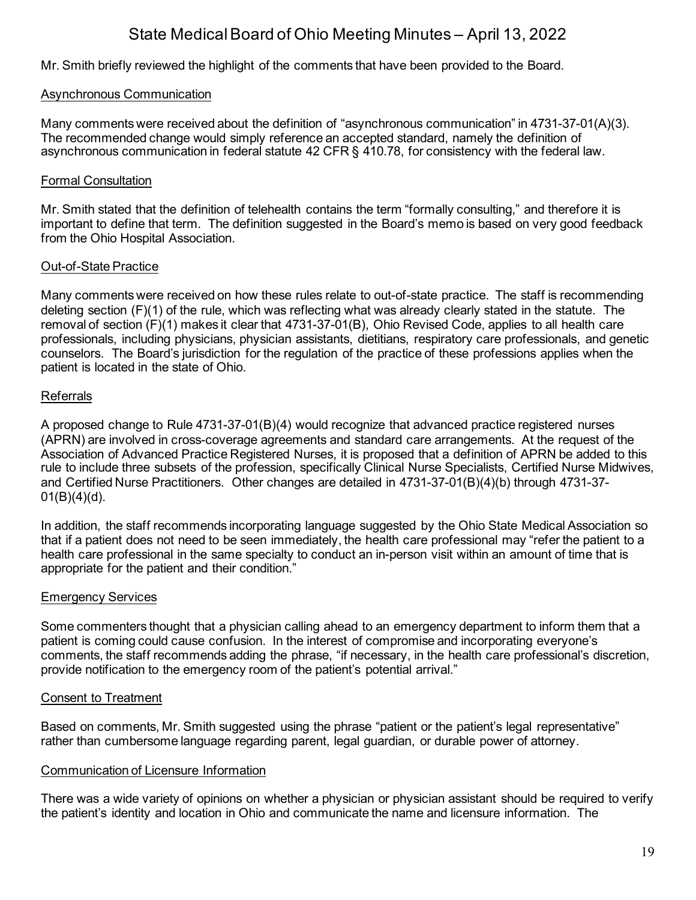Mr. Smith briefly reviewed the highlight of the comments that have been provided to the Board.

### Asynchronous Communication

Many comments were received about the definition of "asynchronous communication" in 4731-37-01(A)(3). The recommended change would simply reference an accepted standard, namely the definition of asynchronous communication in federal statute 42 CFR § 410.78, for consistency with the federal law.

### Formal Consultation

Mr. Smith stated that the definition of telehealth contains the term "formally consulting," and therefore it is important to define that term. The definition suggested in the Board's memo is based on very good feedback from the Ohio Hospital Association.

### Out-of-State Practice

Many comments were received on how these rules relate to out-of-state practice. The staff is recommending deleting section (F)(1) of the rule, which was reflecting what was already clearly stated in the statute. The removal of section (F)(1) makes it clear that 4731-37-01(B), Ohio Revised Code, applies to all health care professionals, including physicians, physician assistants, dietitians, respiratory care professionals, and genetic counselors. The Board's jurisdiction for the regulation of the practice of these professions applies when the patient is located in the state of Ohio.

### Referrals

A proposed change to Rule 4731-37-01(B)(4) would recognize that advanced practice registered nurses (APRN) are involved in cross-coverage agreements and standard care arrangements. At the request of the Association of Advanced Practice Registered Nurses, it is proposed that a definition of APRN be added to this rule to include three subsets of the profession, specifically Clinical Nurse Specialists, Certified Nurse Midwives, and Certified Nurse Practitioners. Other changes are detailed in 4731-37-01(B)(4)(b) through 4731-37-  $01(B)(4)(d)$ .

In addition, the staff recommends incorporating language suggested by the Ohio State Medical Association so that if a patient does not need to be seen immediately, the health care professional may "refer the patient to a health care professional in the same specialty to conduct an in-person visit within an amount of time that is appropriate for the patient and their condition."

### Emergency Services

Some commenters thought that a physician calling ahead to an emergency department to inform them that a patient is coming could cause confusion. In the interest of compromise and incorporating everyone's comments, the staff recommends adding the phrase, "if necessary, in the health care professional's discretion, provide notification to the emergency room of the patient's potential arrival."

### Consent to Treatment

Based on comments, Mr. Smith suggested using the phrase "patient or the patient's legal representative" rather than cumbersome language regarding parent, legal guardian, or durable power of attorney.

### Communication of Licensure Information

There was a wide variety of opinions on whether a physician or physician assistant should be required to verify the patient's identity and location in Ohio and communicate the name and licensure information. The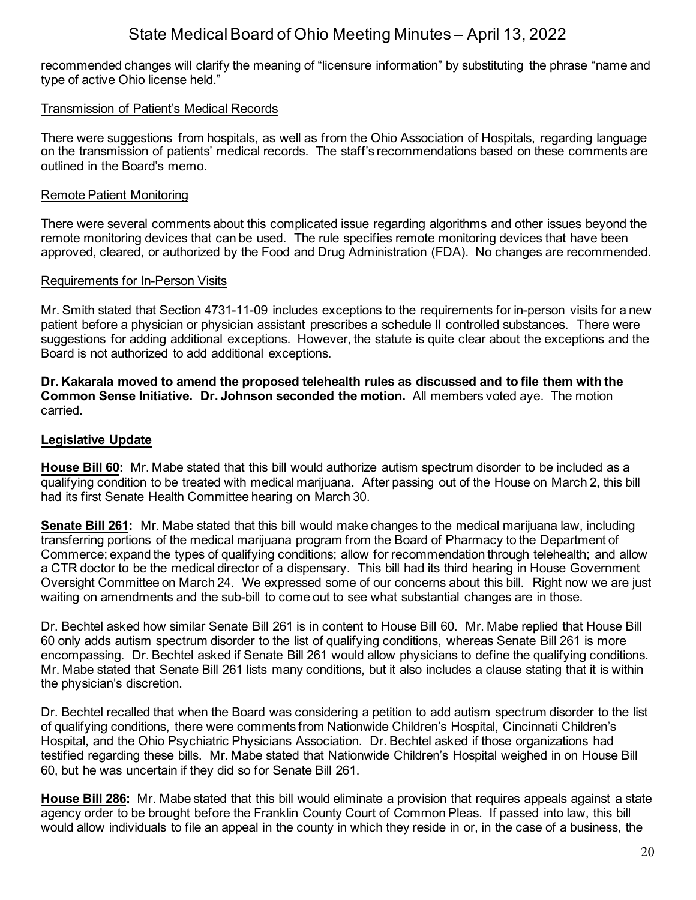recommended changes will clarify the meaning of "licensure information" by substituting the phrase "name and type of active Ohio license held."

### Transmission of Patient's Medical Records

There were suggestions from hospitals, as well as from the Ohio Association of Hospitals, regarding language on the transmission of patients' medical records. The staff's recommendations based on these comments are outlined in the Board's memo.

### Remote Patient Monitoring

There were several comments about this complicated issue regarding algorithms and other issues beyond the remote monitoring devices that can be used. The rule specifies remote monitoring devices that have been approved, cleared, or authorized by the Food and Drug Administration (FDA). No changes are recommended.

### Requirements for In-Person Visits

Mr. Smith stated that Section 4731-11-09 includes exceptions to the requirements for in-person visits for a new patient before a physician or physician assistant prescribes a schedule II controlled substances. There were suggestions for adding additional exceptions. However, the statute is quite clear about the exceptions and the Board is not authorized to add additional exceptions.

**Dr. Kakarala moved to amend the proposed telehealth rules as discussed and to file them with the Common Sense Initiative. Dr. Johnson seconded the motion.** All members voted aye. The motion carried.

### **Legislative Update**

**House Bill 60:** Mr. Mabe stated that this bill would authorize autism spectrum disorder to be included as a qualifying condition to be treated with medical marijuana. After passing out of the House on March 2, this bill had its first Senate Health Committee hearing on March 30.

**Senate Bill 261:** Mr. Mabe stated that this bill would make changes to the medical marijuana law, including transferring portions of the medical marijuana program from the Board of Pharmacy to the Department of Commerce; expand the types of qualifying conditions; allow for recommendation through telehealth; and allow a CTR doctor to be the medical director of a dispensary. This bill had its third hearing in House Government Oversight Committee on March 24. We expressed some of our concerns about this bill. Right now we are just waiting on amendments and the sub-bill to come out to see what substantial changes are in those.

Dr. Bechtel asked how similar Senate Bill 261 is in content to House Bill 60. Mr. Mabe replied that House Bill 60 only adds autism spectrum disorder to the list of qualifying conditions, whereas Senate Bill 261 is more encompassing. Dr. Bechtel asked if Senate Bill 261 would allow physicians to define the qualifying conditions. Mr. Mabe stated that Senate Bill 261 lists many conditions, but it also includes a clause stating that it is within the physician's discretion.

Dr. Bechtel recalled that when the Board was considering a petition to add autism spectrum disorder to the list of qualifying conditions, there were comments from Nationwide Children's Hospital, Cincinnati Children's Hospital, and the Ohio Psychiatric Physicians Association. Dr. Bechtel asked if those organizations had testified regarding these bills. Mr. Mabe stated that Nationwide Children's Hospital weighed in on House Bill 60, but he was uncertain if they did so for Senate Bill 261.

**House Bill 286:** Mr. Mabe stated that this bill would eliminate a provision that requires appeals against a state agency order to be brought before the Franklin County Court of Common Pleas. If passed into law, this bill would allow individuals to file an appeal in the county in which they reside in or, in the case of a business, the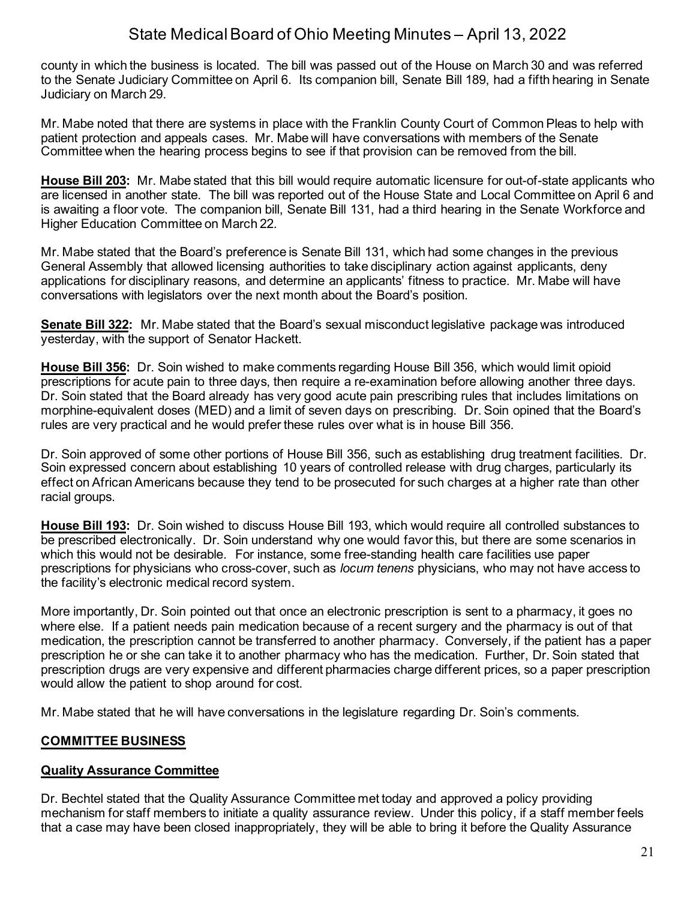county in which the business is located. The bill was passed out of the House on March 30 and was referred to the Senate Judiciary Committee on April 6. Its companion bill, Senate Bill 189, had a fifth hearing in Senate Judiciary on March 29.

Mr. Mabe noted that there are systems in place with the Franklin County Court of Common Pleas to help with patient protection and appeals cases. Mr. Mabe will have conversations with members of the Senate Committee when the hearing process begins to see if that provision can be removed from the bill.

**House Bill 203:** Mr. Mabe stated that this bill would require automatic licensure for out-of-state applicants who are licensed in another state. The bill was reported out of the House State and Local Committee on April 6 and is awaiting a floor vote. The companion bill, Senate Bill 131, had a third hearing in the Senate Workforce and Higher Education Committee on March 22.

Mr. Mabe stated that the Board's preference is Senate Bill 131, which had some changes in the previous General Assembly that allowed licensing authorities to take disciplinary action against applicants, deny applications for disciplinary reasons, and determine an applicants' fitness to practice. Mr. Mabe will have conversations with legislators over the next month about the Board's position.

**Senate Bill 322:** Mr. Mabe stated that the Board's sexual misconduct legislative package was introduced yesterday, with the support of Senator Hackett.

**House Bill 356:** Dr. Soin wished to make comments regarding House Bill 356, which would limit opioid prescriptions for acute pain to three days, then require a re-examination before allowing another three days. Dr. Soin stated that the Board already has very good acute pain prescribing rules that includes limitations on morphine-equivalent doses (MED) and a limit of seven days on prescribing. Dr. Soin opined that the Board's rules are very practical and he would prefer these rules over what is in house Bill 356.

Dr. Soin approved of some other portions of House Bill 356, such as establishing drug treatment facilities. Dr. Soin expressed concern about establishing 10 years of controlled release with drug charges, particularly its effect on African Americans because they tend to be prosecuted for such charges at a higher rate than other racial groups.

**House Bill 193:** Dr. Soin wished to discuss House Bill 193, which would require all controlled substances to be prescribed electronically. Dr. Soin understand why one would favor this, but there are some scenarios in which this would not be desirable. For instance, some free-standing health care facilities use paper prescriptions for physicians who cross-cover, such as *locum tenens* physicians, who may not have access to the facility's electronic medical record system.

More importantly, Dr. Soin pointed out that once an electronic prescription is sent to a pharmacy, it goes no where else. If a patient needs pain medication because of a recent surgery and the pharmacy is out of that medication, the prescription cannot be transferred to another pharmacy. Conversely, if the patient has a paper prescription he or she can take it to another pharmacy who has the medication. Further, Dr. Soin stated that prescription drugs are very expensive and different pharmacies charge different prices, so a paper prescription would allow the patient to shop around for cost.

Mr. Mabe stated that he will have conversations in the legislature regarding Dr. Soin's comments.

## **COMMITTEE BUSINESS**

### **Quality Assurance Committee**

Dr. Bechtel stated that the Quality Assurance Committee met today and approved a policy providing mechanism for staff members to initiate a quality assurance review. Under this policy, if a staff member feels that a case may have been closed inappropriately, they will be able to bring it before the Quality Assurance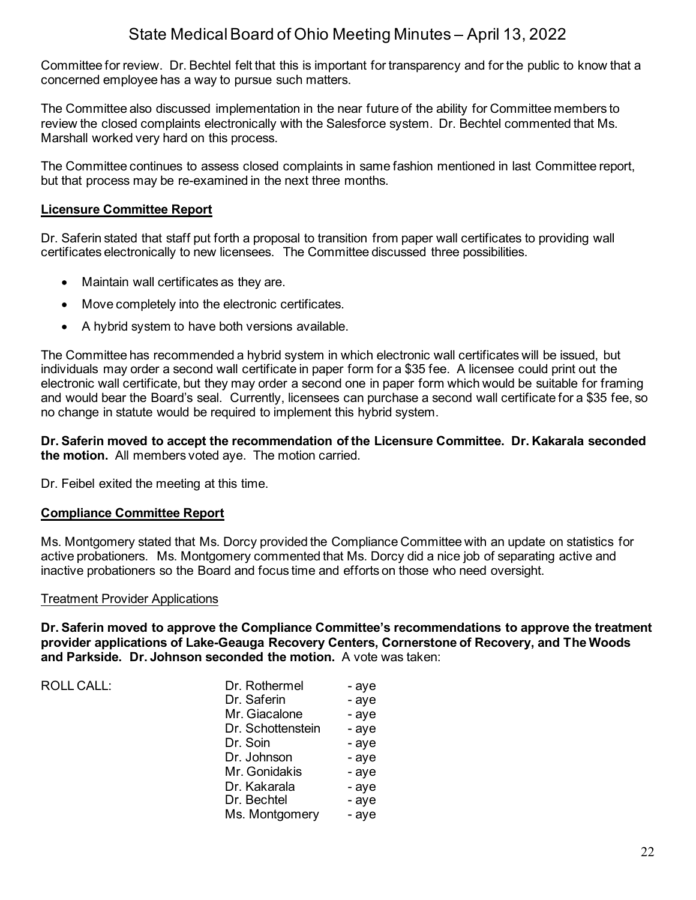Committee for review. Dr. Bechtel felt that this is important for transparency and for the public to know that a concerned employee has a way to pursue such matters.

The Committee also discussed implementation in the near future of the ability for Committee members to review the closed complaints electronically with the Salesforce system. Dr. Bechtel commented that Ms. Marshall worked very hard on this process.

The Committee continues to assess closed complaints in same fashion mentioned in last Committee report, but that process may be re-examined in the next three months.

## **Licensure Committee Report**

Dr. Saferin stated that staff put forth a proposal to transition from paper wall certificates to providing wall certificates electronically to new licensees. The Committee discussed three possibilities.

- Maintain wall certificates as they are.
- Move completely into the electronic certificates.
- A hybrid system to have both versions available.

The Committee has recommended a hybrid system in which electronic wall certificates will be issued, but individuals may order a second wall certificate in paper form for a \$35 fee. A licensee could print out the electronic wall certificate, but they may order a second one in paper form which would be suitable for framing and would bear the Board's seal. Currently, licensees can purchase a second wall certificate for a \$35 fee, so no change in statute would be required to implement this hybrid system.

**Dr. Saferin moved to accept the recommendation of the Licensure Committee. Dr. Kakarala seconded the motion.** All members voted aye. The motion carried.

Dr. Feibel exited the meeting at this time.

### **Compliance Committee Report**

Ms. Montgomery stated that Ms. Dorcy provided the Compliance Committee with an update on statistics for active probationers. Ms. Montgomery commented that Ms. Dorcy did a nice job of separating active and inactive probationers so the Board and focus time and efforts on those who need oversight.

### Treatment Provider Applications

**Dr. Saferin moved to approve the Compliance Committee's recommendations to approve the treatment provider applications of Lake-Geauga Recovery Centers, Cornerstone of Recovery, and The Woods and Parkside. Dr. Johnson seconded the motion.** A vote was taken:

ROLL CALL: Dr. Rothermel - aye Dr. Saferin - aye Mr. Giacalone - aye Dr. Schottenstein - aye Dr. Soin - aye Dr. Johnson - aye Mr. Gonidakis - aye Dr. Kakarala - aye Dr. Bechtel - aye Ms. Montgomery - aye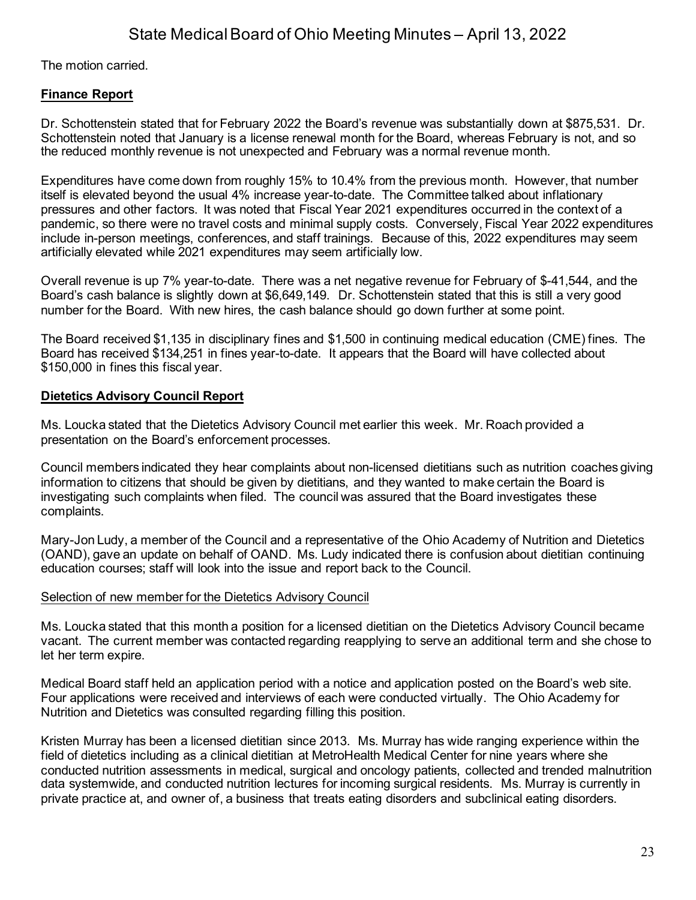The motion carried.

## **Finance Report**

Dr. Schottenstein stated that for February 2022 the Board's revenue was substantially down at \$875,531. Dr. Schottenstein noted that January is a license renewal month for the Board, whereas February is not, and so the reduced monthly revenue is not unexpected and February was a normal revenue month.

Expenditures have come down from roughly 15% to 10.4% from the previous month. However, that number itself is elevated beyond the usual 4% increase year-to-date. The Committee talked about inflationary pressures and other factors. It was noted that Fiscal Year 2021 expenditures occurred in the context of a pandemic, so there were no travel costs and minimal supply costs. Conversely, Fiscal Year 2022 expenditures include in-person meetings, conferences, and staff trainings. Because of this, 2022 expenditures may seem artificially elevated while 2021 expenditures may seem artificially low.

Overall revenue is up 7% year-to-date. There was a net negative revenue for February of \$-41,544, and the Board's cash balance is slightly down at \$6,649,149. Dr. Schottenstein stated that this is still a very good number for the Board. With new hires, the cash balance should go down further at some point.

The Board received \$1,135 in disciplinary fines and \$1,500 in continuing medical education (CME) fines. The Board has received \$134,251 in fines year-to-date. It appears that the Board will have collected about \$150,000 in fines this fiscal year.

## **Dietetics Advisory Council Report**

Ms. Loucka stated that the Dietetics Advisory Council met earlier this week. Mr. Roach provided a presentation on the Board's enforcement processes.

Council members indicated they hear complaints about non-licensed dietitians such as nutrition coaches giving information to citizens that should be given by dietitians, and they wanted to make certain the Board is investigating such complaints when filed. The council was assured that the Board investigates these complaints.

Mary-Jon Ludy, a member of the Council and a representative of the Ohio Academy of Nutrition and Dietetics (OAND), gave an update on behalf of OAND. Ms. Ludy indicated there is confusion about dietitian continuing education courses; staff will look into the issue and report back to the Council.

## Selection of new member for the Dietetics Advisory Council

Ms. Loucka stated that this month a position for a licensed dietitian on the Dietetics Advisory Council became vacant. The current member was contacted regarding reapplying to serve an additional term and she chose to let her term expire.

Medical Board staff held an application period with a notice and application posted on the Board's web site. Four applications were received and interviews of each were conducted virtually. The Ohio Academy for Nutrition and Dietetics was consulted regarding filling this position.

Kristen Murray has been a licensed dietitian since 2013. Ms. Murray has wide ranging experience within the field of dietetics including as a clinical dietitian at MetroHealth Medical Center for nine years where she conducted nutrition assessments in medical, surgical and oncology patients, collected and trended malnutrition data systemwide, and conducted nutrition lectures for incoming surgical residents. Ms. Murray is currently in private practice at, and owner of, a business that treats eating disorders and subclinical eating disorders.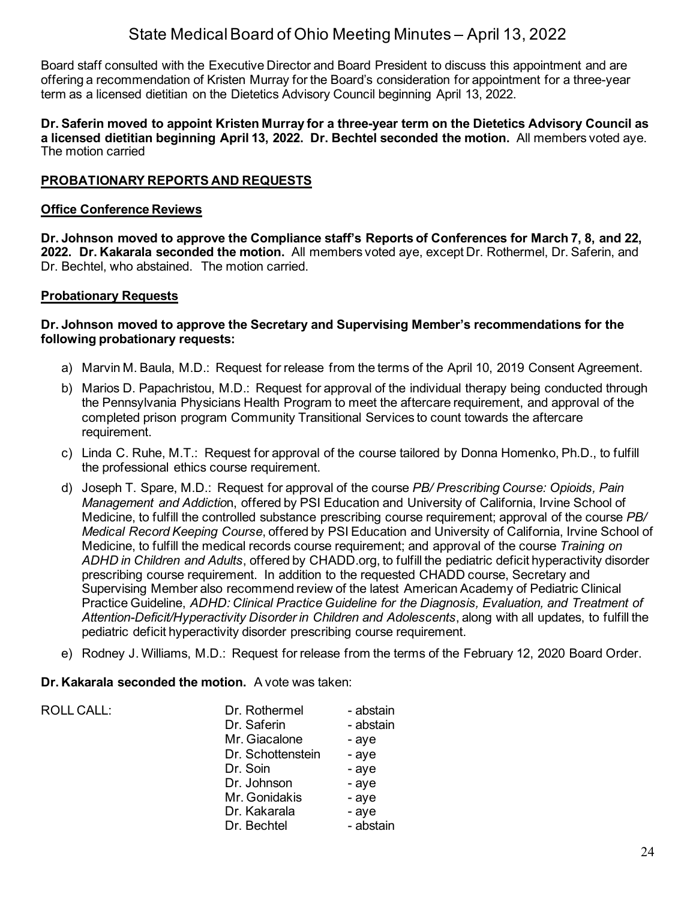Board staff consulted with the Executive Director and Board President to discuss this appointment and are offering a recommendation of Kristen Murray for the Board's consideration for appointment for a three-year term as a licensed dietitian on the Dietetics Advisory Council beginning April 13, 2022.

**Dr. Saferin moved to appoint Kristen Murray for a three-year term on the Dietetics Advisory Council as a licensed dietitian beginning April 13, 2022. Dr. Bechtel seconded the motion.** All members voted aye. The motion carried

## **PROBATIONARY REPORTS AND REQUESTS**

### **Office Conference Reviews**

**Dr. Johnson moved to approve the Compliance staff's Reports of Conferences for March 7, 8, and 22, 2022. Dr. Kakarala seconded the motion.** All members voted aye, except Dr. Rothermel, Dr. Saferin, and Dr. Bechtel, who abstained. The motion carried.

### **Probationary Requests**

### **Dr. Johnson moved to approve the Secretary and Supervising Member's recommendations for the following probationary requests:**

- a) Marvin M. Baula, M.D.: Request for release from the terms of the April 10, 2019 Consent Agreement.
- b) Marios D. Papachristou, M.D.: Request for approval of the individual therapy being conducted through the Pennsylvania Physicians Health Program to meet the aftercare requirement, and approval of the completed prison program Community Transitional Services to count towards the aftercare requirement.
- c) Linda C. Ruhe, M.T.: Request for approval of the course tailored by Donna Homenko, Ph.D., to fulfill the professional ethics course requirement.
- d) Joseph T. Spare, M.D.: Request for approval of the course *PB/ Prescribing Course: Opioids, Pain Management and Addictio*n, offered by PSI Education and University of California, Irvine School of Medicine, to fulfill the controlled substance prescribing course requirement; approval of the course *PB/ Medical Record Keeping Course*, offered by PSI Education and University of California, Irvine School of Medicine, to fulfill the medical records course requirement; and approval of the course *Training on ADHD in Children and Adults*, offered by CHADD.org, to fulfill the pediatric deficit hyperactivity disorder prescribing course requirement. In addition to the requested CHADD course, Secretary and Supervising Member also recommend review of the latest American Academy of Pediatric Clinical Practice Guideline, *ADHD: Clinical Practice Guideline for the Diagnosis, Evaluation, and Treatment of Attention-Deficit/Hyperactivity Disorder in Children and Adolescents*, along with all updates, to fulfill the pediatric deficit hyperactivity disorder prescribing course requirement.
- e) Rodney J. Williams, M.D.: Request for release from the terms of the February 12, 2020 Board Order.

### **Dr. Kakarala seconded the motion.** A vote was taken:

| <b>ROLL CALL:</b> | Dr. Rothermel<br>Dr. Saferin | - abstain<br>- abstain |
|-------------------|------------------------------|------------------------|
|                   | Mr. Giacalone                | - aye                  |
|                   | Dr. Schottenstein            | - aye                  |
|                   | Dr. Soin                     | - aye                  |
|                   | Dr. Johnson                  | - aye                  |
|                   | Mr. Gonidakis                | - aye                  |
|                   | Dr. Kakarala                 | - aye                  |
|                   | Dr. Bechtel                  | - abstain              |